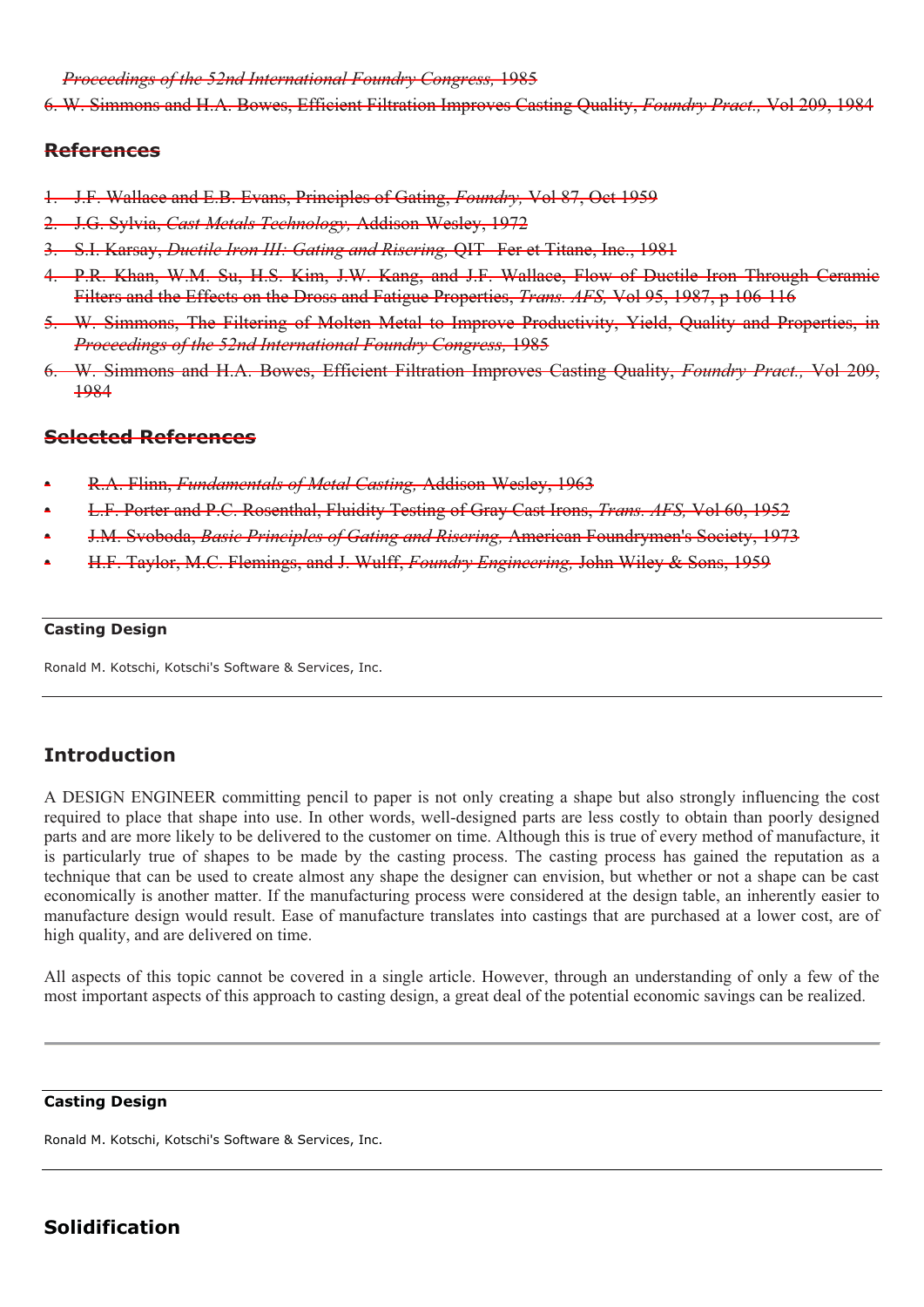*Proceedings of the 52nd International Foundry Congress,* 1985

6. W. Simmons and H.A. Bowes, Efficient Filtration Improves Casting Quality, *Foundry Pract.,* Vol 209, 1984

### **References**

- 1. J.F. Wallace and E.B. Evans, Principles of Gating, *Foundry,* Vol 87, Oct 1959
- 2. J.G. Sylvia, *Cast Metals Technology,* Addison-Wesley, 1972
- 3. S.I. Karsay, *Ductile Iron III: Gating and Risering,* QIT--Fer et Titane, Inc., 1981
- 4. P.R. Khan, W.M. Su, H.S. Kim, J.W. Kang, and J.F. Wallace, Flow of Ductile Iron Through Ceramic Filters and the Effects on the Dross and Fatigue Properties, *Trans. AFS,* Vol 95, 1987, p 106-116
- 5. W. Simmons, The Filtering of Molten Metal to Improve Productivity, Yield, Quality and Properties, in *Proceedings of the 52nd International Foundry Congress,* 1985
- 6. W. Simmons and H.A. Bowes, Efficient Filtration Improves Casting Quality, *Foundry Pract.,* Vol 209, 1984

### **Selected References**

- R.A. Flinn, *Fundamentals of Metal Casting,* Addison-Wesley, 1963
- L.F. Porter and P.C. Rosenthal, Fluidity Testing of Gray Cast Irons, *Trans. AFS,* Vol 60, 1952
- J.M. Svoboda, *Basic Principles of Gating and Risering,* American Foundrymen's Society, 1973
- H.F. Taylor, M.C. Flemings, and J. Wulff, *Foundry Engineering,* John Wiley & Sons, 1959

#### **Casting Design**

Ronald M. Kotschi, Kotschi's Software & Services, Inc.

## **Introduction**

A DESIGN ENGINEER committing pencil to paper is not only creating a shape but also strongly influencing the cost required to place that shape into use. In other words, well-designed parts are less costly to obtain than poorly designed parts and are more likely to be delivered to the customer on time. Although this is true of every method of manufacture, it is particularly true of shapes to be made by the casting process. The casting process has gained the reputation as a technique that can be used to create almost any shape the designer can envision, but whether or not a shape can be cast economically is another matter. If the manufacturing process were considered at the design table, an inherently easier to manufacture design would result. Ease of manufacture translates into castings that are purchased at a lower cost, are of high quality, and are delivered on time.

All aspects of this topic cannot be covered in a single article. However, through an understanding of only a few of the most important aspects of this approach to casting design, a great deal of the potential economic savings can be realized.

#### **Casting Design**

Ronald M. Kotschi, Kotschi's Software & Services, Inc.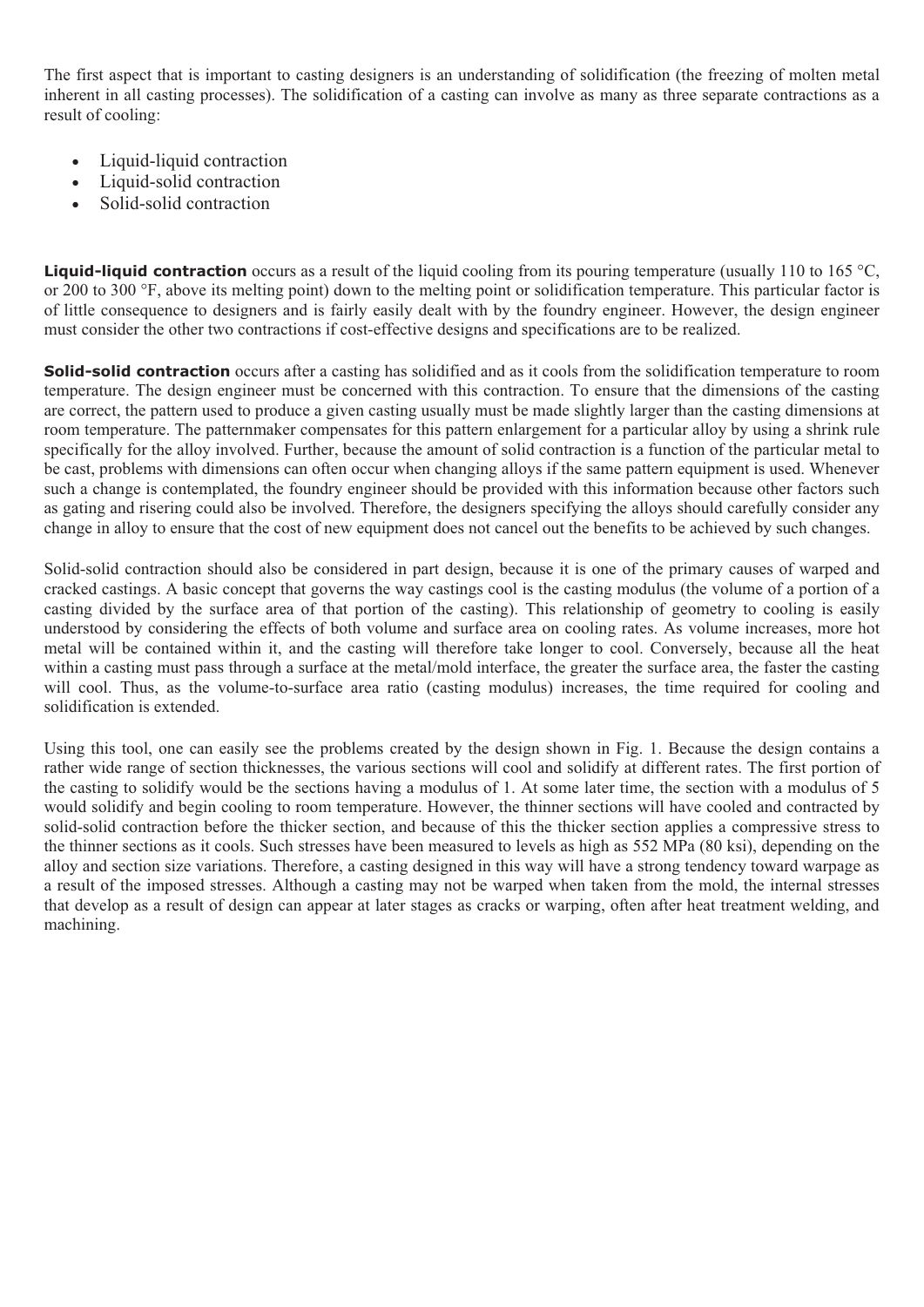The first aspect that is important to casting designers is an understanding of solidification (the freezing of molten metal inherent in all casting processes). The solidification of a casting can involve as many as three separate contractions as a result of cooling:

- Liquid-liquid contraction
- Liquid-solid contraction
- Solid-solid contraction

**Liquid-liquid contraction** occurs as a result of the liquid cooling from its pouring temperature (usually 110 to 165 °C, or 200 to 300 °F, above its melting point) down to the melting point or solidification temperature. This particular factor is of little consequence to designers and is fairly easily dealt with by the foundry engineer. However, the design engineer must consider the other two contractions if cost-effective designs and specifications are to be realized.

**Solid-solid contraction** occurs after a casting has solidified and as it cools from the solidification temperature to room temperature. The design engineer must be concerned with this contraction. To ensure that the dimensions of the casting are correct, the pattern used to produce a given casting usually must be made slightly larger than the casting dimensions at room temperature. The patternmaker compensates for this pattern enlargement for a particular alloy by using a shrink rule specifically for the alloy involved. Further, because the amount of solid contraction is a function of the particular metal to be cast, problems with dimensions can often occur when changing alloys if the same pattern equipment is used. Whenever such a change is contemplated, the foundry engineer should be provided with this information because other factors such as gating and risering could also be involved. Therefore, the designers specifying the alloys should carefully consider any change in alloy to ensure that the cost of new equipment does not cancel out the benefits to be achieved by such changes.

Solid-solid contraction should also be considered in part design, because it is one of the primary causes of warped and cracked castings. A basic concept that governs the way castings cool is the casting modulus (the volume of a portion of a casting divided by the surface area of that portion of the casting). This relationship of geometry to cooling is easily understood by considering the effects of both volume and surface area on cooling rates. As volume increases, more hot metal will be contained within it, and the casting will therefore take longer to cool. Conversely, because all the heat within a casting must pass through a surface at the metal/mold interface, the greater the surface area, the faster the casting will cool. Thus, as the volume-to-surface area ratio (casting modulus) increases, the time required for cooling and solidification is extended.

Using this tool, one can easily see the problems created by the design shown in Fig. 1. Because the design contains a rather wide range of section thicknesses, the various sections will cool and solidify at different rates. The first portion of the casting to solidify would be the sections having a modulus of 1. At some later time, the section with a modulus of 5 would solidify and begin cooling to room temperature. However, the thinner sections will have cooled and contracted by solid-solid contraction before the thicker section, and because of this the thicker section applies a compressive stress to the thinner sections as it cools. Such stresses have been measured to levels as high as 552 MPa (80 ksi), depending on the alloy and section size variations. Therefore, a casting designed in this way will have a strong tendency toward warpage as a result of the imposed stresses. Although a casting may not be warped when taken from the mold, the internal stresses that develop as a result of design can appear at later stages as cracks or warping, often after heat treatment welding, and machining.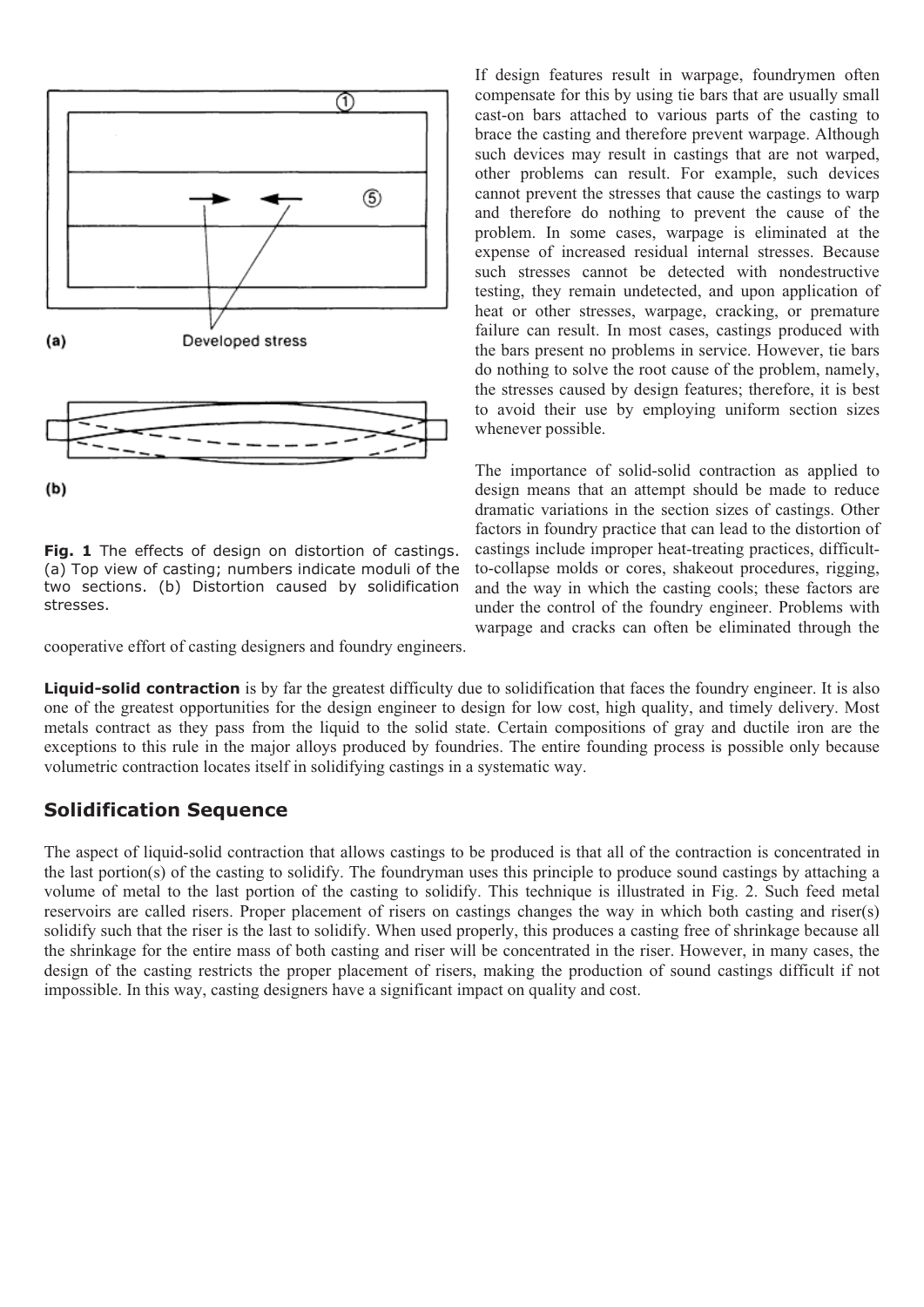

**Fig. 1** The effects of design on distortion of castings. (a) Top view of casting; numbers indicate moduli of the two sections. (b) Distortion caused by solidification stresses.

cooperative effort of casting designers and foundry engineers.

If design features result in warpage, foundrymen often compensate for this by using tie bars that are usually small cast-on bars attached to various parts of the casting to brace the casting and therefore prevent warpage. Although such devices may result in castings that are not warped, other problems can result. For example, such devices cannot prevent the stresses that cause the castings to warp and therefore do nothing to prevent the cause of the problem. In some cases, warpage is eliminated at the expense of increased residual internal stresses. Because such stresses cannot be detected with nondestructive testing, they remain undetected, and upon application of heat or other stresses, warpage, cracking, or premature failure can result. In most cases, castings produced with the bars present no problems in service. However, tie bars do nothing to solve the root cause of the problem, namely, the stresses caused by design features; therefore, it is best to avoid their use by employing uniform section sizes whenever possible.

The importance of solid-solid contraction as applied to design means that an attempt should be made to reduce dramatic variations in the section sizes of castings. Other factors in foundry practice that can lead to the distortion of castings include improper heat-treating practices, difficultto-collapse molds or cores, shakeout procedures, rigging, and the way in which the casting cools; these factors are under the control of the foundry engineer. Problems with warpage and cracks can often be eliminated through the

**Liquid-solid contraction** is by far the greatest difficulty due to solidification that faces the foundry engineer. It is also one of the greatest opportunities for the design engineer to design for low cost, high quality, and timely delivery. Most metals contract as they pass from the liquid to the solid state. Certain compositions of gray and ductile iron are the exceptions to this rule in the major alloys produced by foundries. The entire founding process is possible only because volumetric contraction locates itself in solidifying castings in a systematic way.

#### **Solidification Sequence**

The aspect of liquid-solid contraction that allows castings to be produced is that all of the contraction is concentrated in the last portion(s) of the casting to solidify. The foundryman uses this principle to produce sound castings by attaching a volume of metal to the last portion of the casting to solidify. This technique is illustrated in Fig. 2. Such feed metal reservoirs are called risers. Proper placement of risers on castings changes the way in which both casting and riser(s) solidify such that the riser is the last to solidify. When used properly, this produces a casting free of shrinkage because all the shrinkage for the entire mass of both casting and riser will be concentrated in the riser. However, in many cases, the design of the casting restricts the proper placement of risers, making the production of sound castings difficult if not impossible. In this way, casting designers have a significant impact on quality and cost.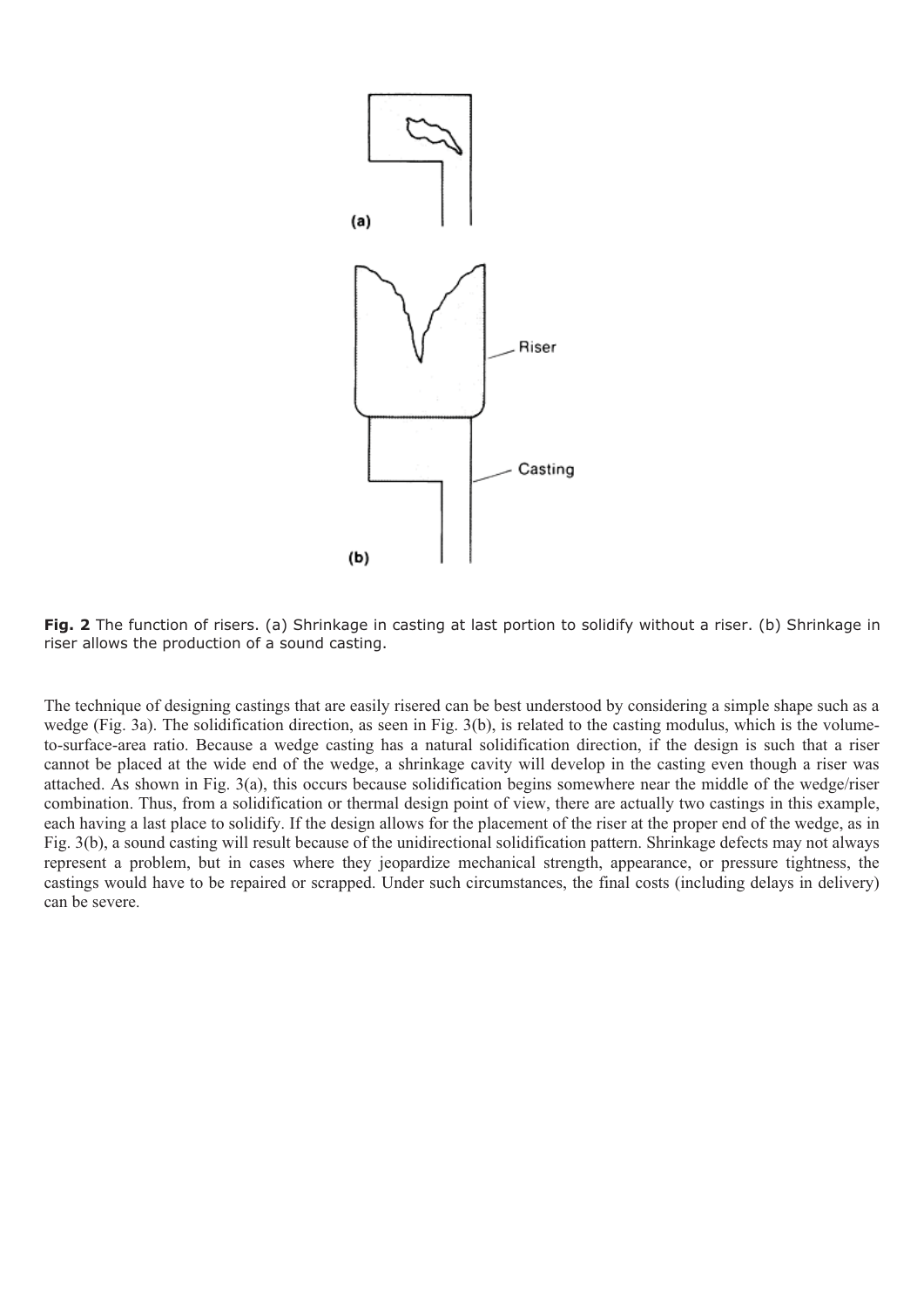

**Fig. 2** The function of risers. (a) Shrinkage in casting at last portion to solidify without a riser. (b) Shrinkage in riser allows the production of a sound casting.

The technique of designing castings that are easily risered can be best understood by considering a simple shape such as a wedge (Fig. 3a). The solidification direction, as seen in Fig. 3(b), is related to the casting modulus, which is the volumeto-surface-area ratio. Because a wedge casting has a natural solidification direction, if the design is such that a riser cannot be placed at the wide end of the wedge, a shrinkage cavity will develop in the casting even though a riser was attached. As shown in Fig. 3(a), this occurs because solidification begins somewhere near the middle of the wedge/riser combination. Thus, from a solidification or thermal design point of view, there are actually two castings in this example, each having a last place to solidify. If the design allows for the placement of the riser at the proper end of the wedge, as in Fig. 3(b), a sound casting will result because of the unidirectional solidification pattern. Shrinkage defects may not always represent a problem, but in cases where they jeopardize mechanical strength, appearance, or pressure tightness, the castings would have to be repaired or scrapped. Under such circumstances, the final costs (including delays in delivery) can be severe.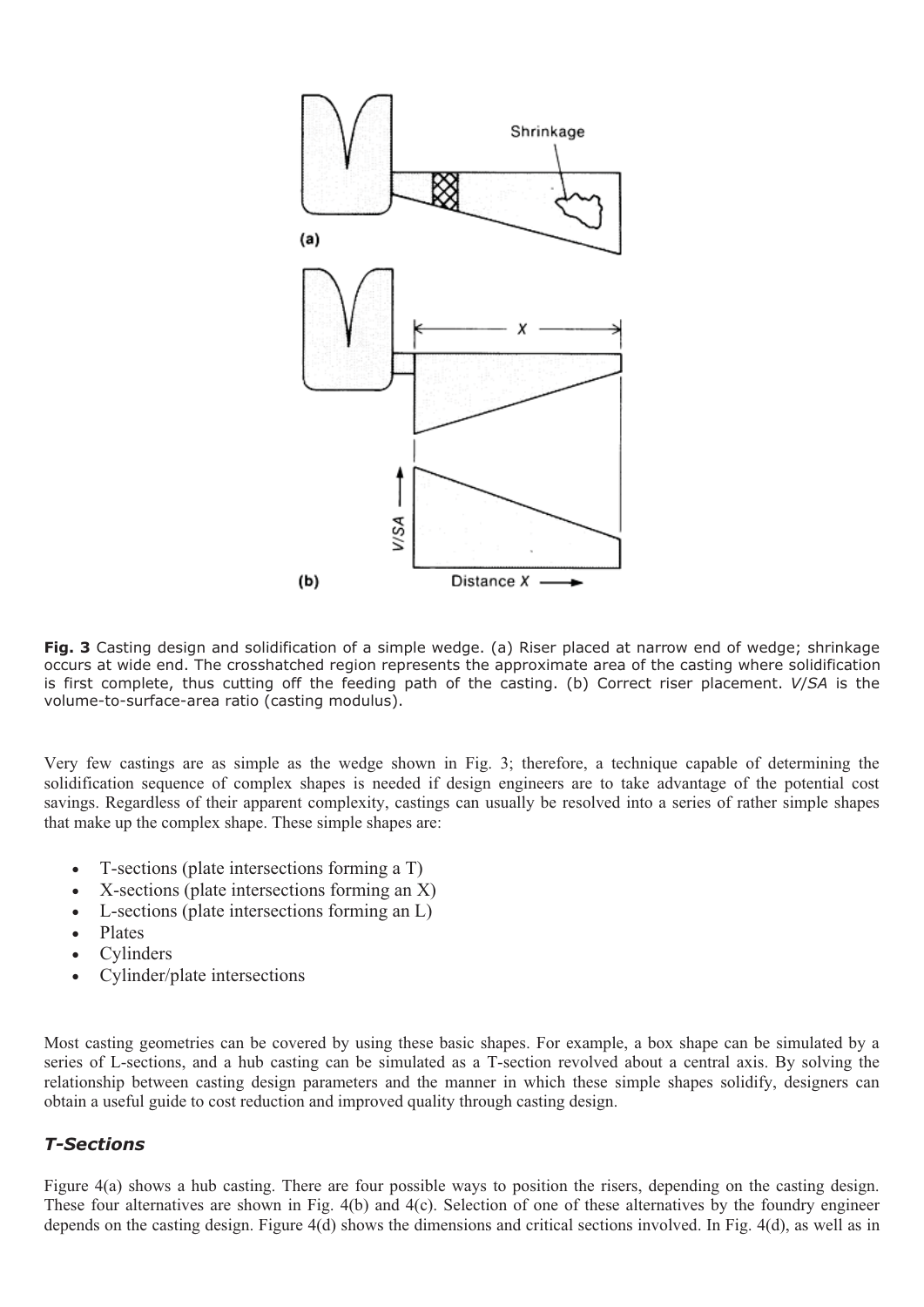

**Fig. 3** Casting design and solidification of a simple wedge. (a) Riser placed at narrow end of wedge; shrinkage occurs at wide end. The crosshatched region represents the approximate area of the casting where solidification is first complete, thus cutting off the feeding path of the casting. (b) Correct riser placement. *V*/*SA* is the volume-to-surface-area ratio (casting modulus).

Very few castings are as simple as the wedge shown in Fig. 3; therefore, a technique capable of determining the solidification sequence of complex shapes is needed if design engineers are to take advantage of the potential cost savings. Regardless of their apparent complexity, castings can usually be resolved into a series of rather simple shapes that make up the complex shape. These simple shapes are:

- T-sections (plate intersections forming a T)
- X-sections (plate intersections forming an X)
- L-sections (plate intersections forming an L)
- Plates
- Cylinders
- Cylinder/plate intersections

Most casting geometries can be covered by using these basic shapes. For example, a box shape can be simulated by a series of L-sections, and a hub casting can be simulated as a T-section revolved about a central axis. By solving the relationship between casting design parameters and the manner in which these simple shapes solidify, designers can obtain a useful guide to cost reduction and improved quality through casting design.

#### *T-Sections*

Figure 4(a) shows a hub casting. There are four possible ways to position the risers, depending on the casting design. These four alternatives are shown in Fig. 4(b) and 4(c). Selection of one of these alternatives by the foundry engineer depends on the casting design. Figure 4(d) shows the dimensions and critical sections involved. In Fig. 4(d), as well as in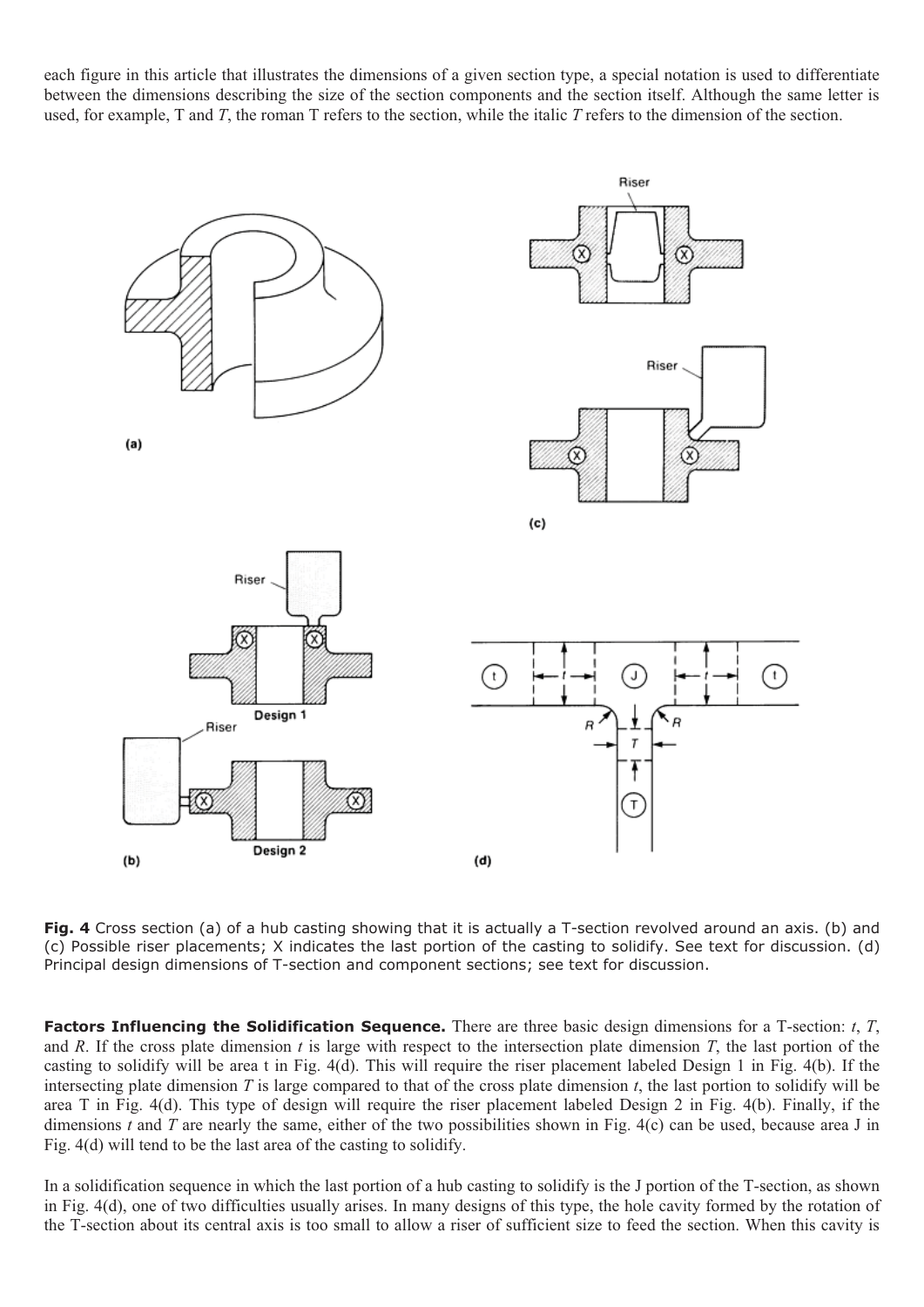each figure in this article that illustrates the dimensions of a given section type, a special notation is used to differentiate between the dimensions describing the size of the section components and the section itself. Although the same letter is used, for example, T and *T*, the roman T refers to the section, while the italic *T* refers to the dimension of the section.



**Fig. 4** Cross section (a) of a hub casting showing that it is actually a T-section revolved around an axis. (b) and (c) Possible riser placements; X indicates the last portion of the casting to solidify. See text for discussion. (d) Principal design dimensions of T-section and component sections; see text for discussion.

**Factors Influencing the Solidification Sequence.** There are three basic design dimensions for a T-section: *t*, *T*, and *R*. If the cross plate dimension *t* is large with respect to the intersection plate dimension *T*, the last portion of the casting to solidify will be area t in Fig. 4(d). This will require the riser placement labeled Design 1 in Fig. 4(b). If the intersecting plate dimension *T* is large compared to that of the cross plate dimension *t*, the last portion to solidify will be area T in Fig. 4(d). This type of design will require the riser placement labeled Design 2 in Fig. 4(b). Finally, if the dimensions *t* and *T* are nearly the same, either of the two possibilities shown in Fig. 4(c) can be used, because area J in Fig. 4(d) will tend to be the last area of the casting to solidify.

In a solidification sequence in which the last portion of a hub casting to solidify is the J portion of the T-section, as shown in Fig. 4(d), one of two difficulties usually arises. In many designs of this type, the hole cavity formed by the rotation of the T-section about its central axis is too small to allow a riser of sufficient size to feed the section. When this cavity is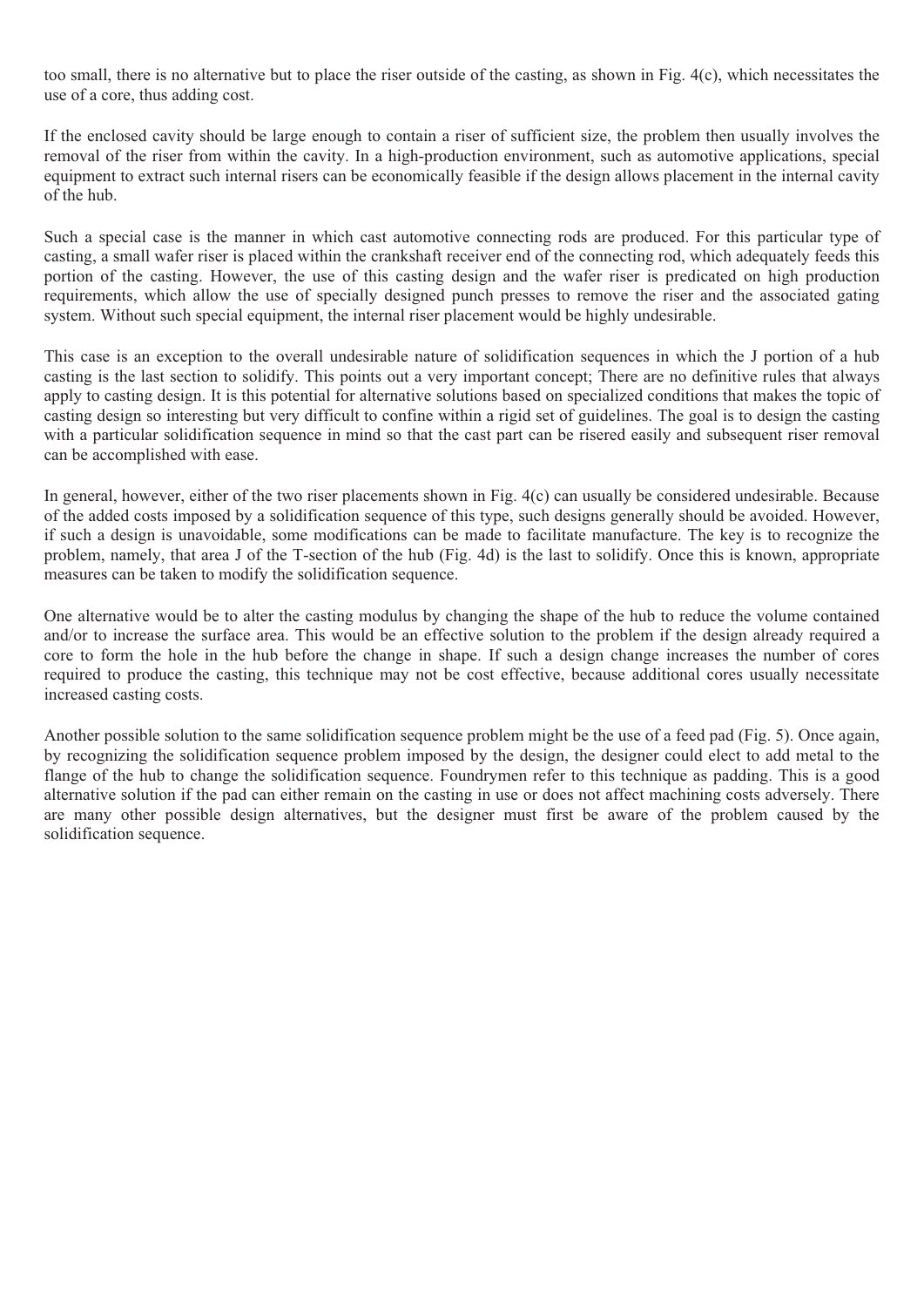too small, there is no alternative but to place the riser outside of the casting, as shown in Fig. 4(c), which necessitates the use of a core, thus adding cost.

If the enclosed cavity should be large enough to contain a riser of sufficient size, the problem then usually involves the removal of the riser from within the cavity. In a high-production environment, such as automotive applications, special equipment to extract such internal risers can be economically feasible if the design allows placement in the internal cavity of the hub.

Such a special case is the manner in which cast automotive connecting rods are produced. For this particular type of casting, a small wafer riser is placed within the crankshaft receiver end of the connecting rod, which adequately feeds this portion of the casting. However, the use of this casting design and the wafer riser is predicated on high production requirements, which allow the use of specially designed punch presses to remove the riser and the associated gating system. Without such special equipment, the internal riser placement would be highly undesirable.

This case is an exception to the overall undesirable nature of solidification sequences in which the J portion of a hub casting is the last section to solidify. This points out a very important concept; There are no definitive rules that always apply to casting design. It is this potential for alternative solutions based on specialized conditions that makes the topic of casting design so interesting but very difficult to confine within a rigid set of guidelines. The goal is to design the casting with a particular solidification sequence in mind so that the cast part can be risered easily and subsequent riser removal can be accomplished with ease.

In general, however, either of the two riser placements shown in Fig. 4(c) can usually be considered undesirable. Because of the added costs imposed by a solidification sequence of this type, such designs generally should be avoided. However, if such a design is unavoidable, some modifications can be made to facilitate manufacture. The key is to recognize the problem, namely, that area J of the T-section of the hub (Fig. 4d) is the last to solidify. Once this is known, appropriate measures can be taken to modify the solidification sequence.

One alternative would be to alter the casting modulus by changing the shape of the hub to reduce the volume contained and/or to increase the surface area. This would be an effective solution to the problem if the design already required a core to form the hole in the hub before the change in shape. If such a design change increases the number of cores required to produce the casting, this technique may not be cost effective, because additional cores usually necessitate increased casting costs.

Another possible solution to the same solidification sequence problem might be the use of a feed pad (Fig. 5). Once again, by recognizing the solidification sequence problem imposed by the design, the designer could elect to add metal to the flange of the hub to change the solidification sequence. Foundrymen refer to this technique as padding. This is a good alternative solution if the pad can either remain on the casting in use or does not affect machining costs adversely. There are many other possible design alternatives, but the designer must first be aware of the problem caused by the solidification sequence.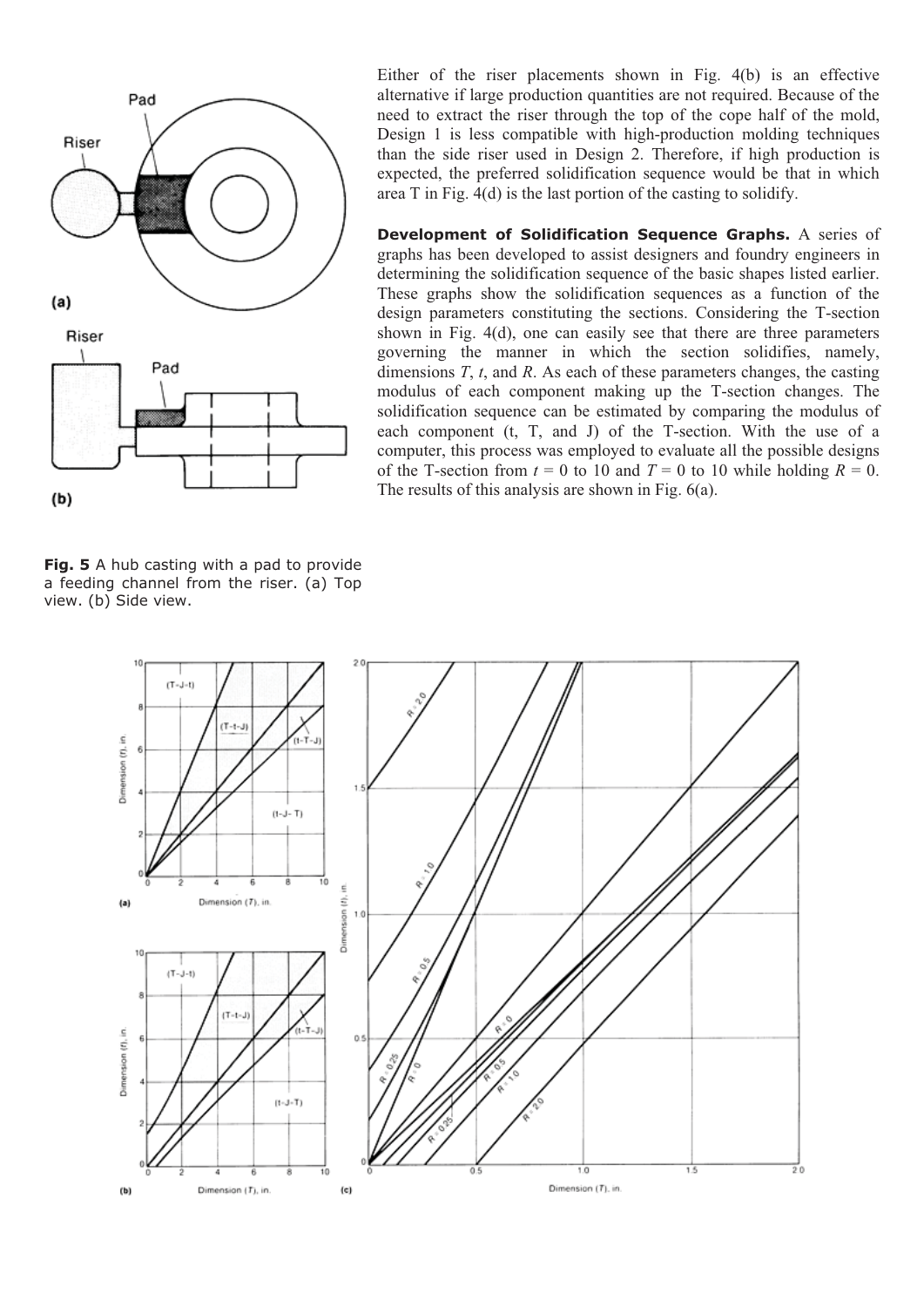

**Fig. 5** A hub casting with a pad to provide a feeding channel from the riser. (a) Top view. (b) Side view.

Either of the riser placements shown in Fig. 4(b) is an effective alternative if large production quantities are not required. Because of the need to extract the riser through the top of the cope half of the mold, Design 1 is less compatible with high-production molding techniques than the side riser used in Design 2. Therefore, if high production is expected, the preferred solidification sequence would be that in which area T in Fig. 4(d) is the last portion of the casting to solidify.

**Development of Solidification Sequence Graphs.** A series of graphs has been developed to assist designers and foundry engineers in determining the solidification sequence of the basic shapes listed earlier. These graphs show the solidification sequences as a function of the design parameters constituting the sections. Considering the T-section shown in Fig. 4(d), one can easily see that there are three parameters governing the manner in which the section solidifies, namely, dimensions *T*, *t*, and *R*. As each of these parameters changes, the casting modulus of each component making up the T-section changes. The solidification sequence can be estimated by comparing the modulus of each component (t, T, and J) of the T-section. With the use of a computer, this process was employed to evaluate all the possible designs of the T-section from  $t = 0$  to 10 and  $T = 0$  to 10 while holding  $R = 0$ . The results of this analysis are shown in Fig. 6(a).

![](_page_7_Figure_4.jpeg)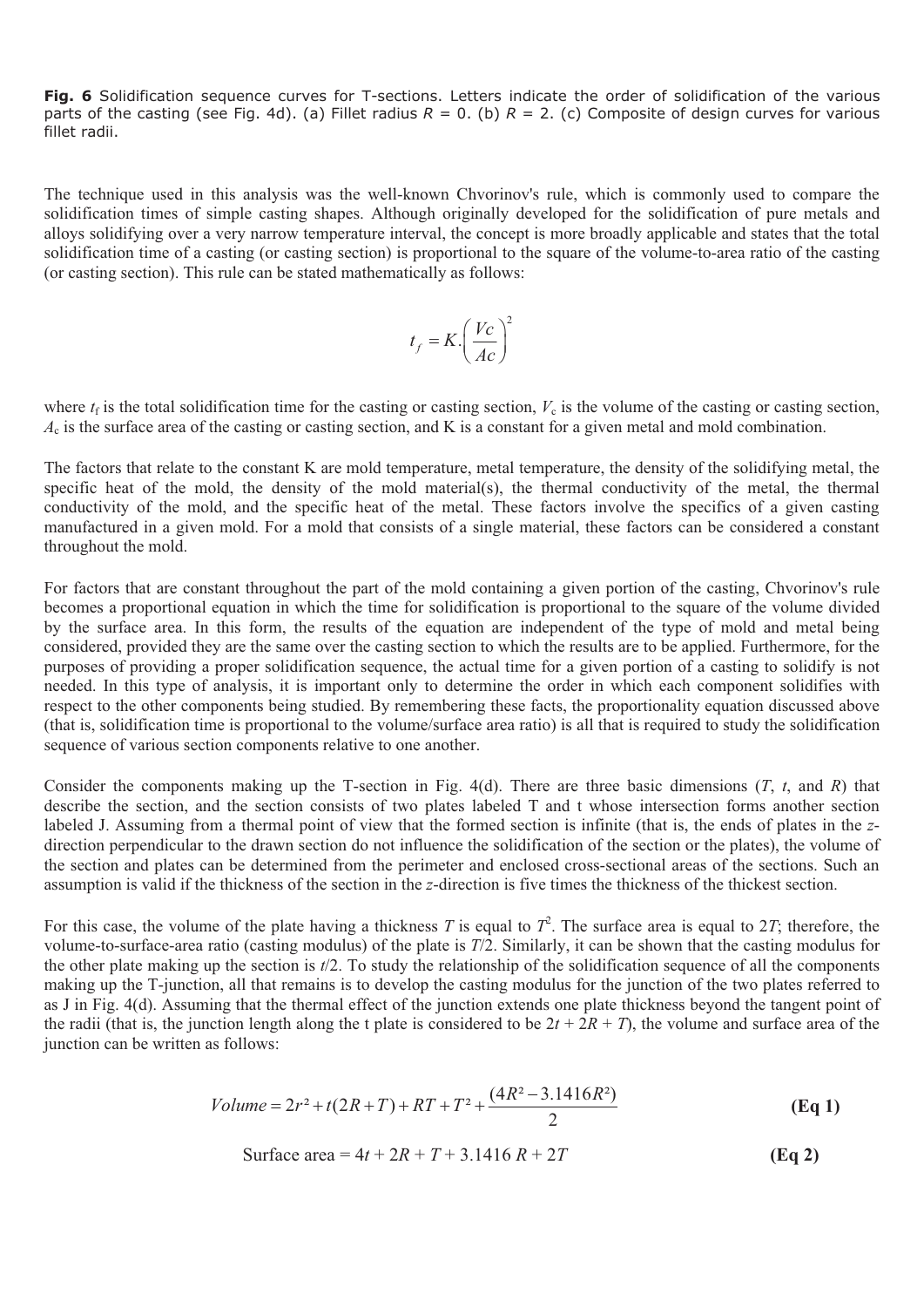**Fig. 6** Solidification sequence curves for T-sections. Letters indicate the order of solidification of the various parts of the casting (see Fig. 4d). (a) Fillet radius  $R = 0$ . (b)  $R = 2$ . (c) Composite of design curves for various fillet radii.

The technique used in this analysis was the well-known Chvorinov's rule, which is commonly used to compare the solidification times of simple casting shapes. Although originally developed for the solidification of pure metals and alloys solidifying over a very narrow temperature interval, the concept is more broadly applicable and states that the total solidification time of a casting (or casting section) is proportional to the square of the volume-to-area ratio of the casting (or casting section). This rule can be stated mathematically as follows:

$$
t_f = K \cdot \left(\frac{Vc}{Ac}\right)^2
$$

where  $t_f$  is the total solidification time for the casting or casting section,  $V_c$  is the volume of the casting or casting section, *A*c is the surface area of the casting or casting section, and K is a constant for a given metal and mold combination.

The factors that relate to the constant K are mold temperature, metal temperature, the density of the solidifying metal, the specific heat of the mold, the density of the mold material(s), the thermal conductivity of the metal, the thermal conductivity of the mold, and the specific heat of the metal. These factors involve the specifics of a given casting manufactured in a given mold. For a mold that consists of a single material, these factors can be considered a constant throughout the mold.

For factors that are constant throughout the part of the mold containing a given portion of the casting, Chvorinov's rule becomes a proportional equation in which the time for solidification is proportional to the square of the volume divided by the surface area. In this form, the results of the equation are independent of the type of mold and metal being considered, provided they are the same over the casting section to which the results are to be applied. Furthermore, for the purposes of providing a proper solidification sequence, the actual time for a given portion of a casting to solidify is not needed. In this type of analysis, it is important only to determine the order in which each component solidifies with respect to the other components being studied. By remembering these facts, the proportionality equation discussed above (that is, solidification time is proportional to the volume/surface area ratio) is all that is required to study the solidification sequence of various section components relative to one another.

Consider the components making up the T-section in Fig. 4(d). There are three basic dimensions  $(T, t, \text{ and } R)$  that describe the section, and the section consists of two plates labeled T and t whose intersection forms another section labeled J. Assuming from a thermal point of view that the formed section is infinite (that is, the ends of plates in the *z*direction perpendicular to the drawn section do not influence the solidification of the section or the plates), the volume of the section and plates can be determined from the perimeter and enclosed cross-sectional areas of the sections. Such an assumption is valid if the thickness of the section in the *z*-direction is five times the thickness of the thickest section.

For this case, the volume of the plate having a thickness *T* is equal to  $T^2$ . The surface area is equal to 2*T*; therefore, the volume-to-surface-area ratio (casting modulus) of the plate is *T*/2. Similarly, it can be shown that the casting modulus for the other plate making up the section is *t*/2. To study the relationship of the solidification sequence of all the components making up the T-junction, all that remains is to develop the casting modulus for the junction of the two plates referred to as J in Fig. 4(d). Assuming that the thermal effect of the junction extends one plate thickness beyond the tangent point of the radii (that is, the junction length along the t plate is considered to be  $2t + 2R + T$ ), the volume and surface area of the junction can be written as follows:

Volume = 
$$
2r^2 + t(2R + T) + RT + T^2 + \frac{(4R^2 - 3.1416R^2)}{2}
$$
 (Eq 1)

Surface area = 
$$
4t + 2R + T + 3.1416 R + 2T
$$
 (Eq 2)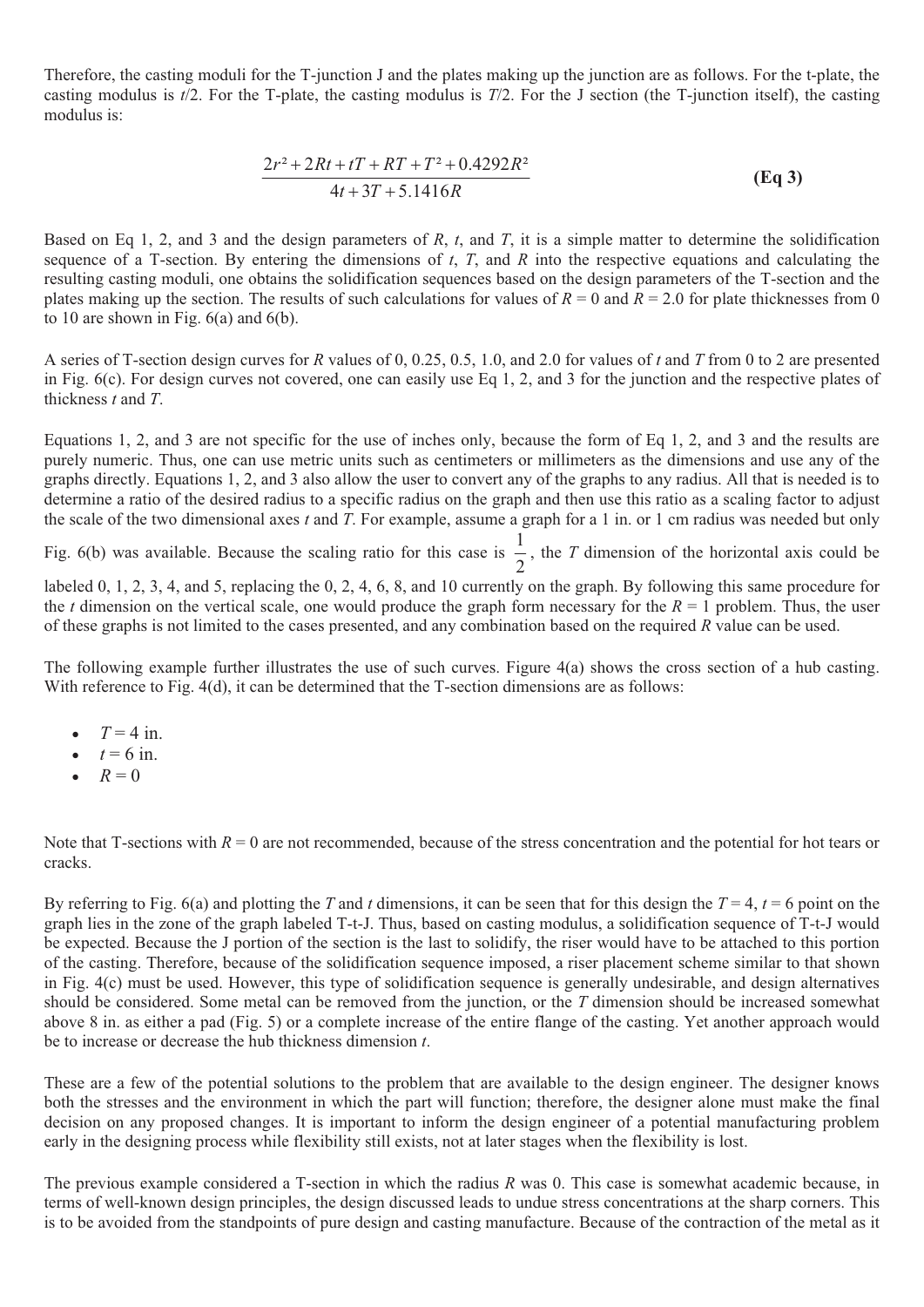Therefore, the casting moduli for the T-junction J and the plates making up the junction are as follows. For the t-plate, the casting modulus is *t*/2. For the T-plate, the casting modulus is *T*/2. For the J section (the T-junction itself), the casting modulus is:

$$
\frac{2r^2 + 2Rt + tT + RT + T^2 + 0.4292R^2}{4t + 3T + 5.1416R}
$$
 (Eq 3)

Based on Eq 1, 2, and 3 and the design parameters of *R*, *t*, and *T*, it is a simple matter to determine the solidification sequence of a T-section. By entering the dimensions of *t*, *T*, and *R* into the respective equations and calculating the resulting casting moduli, one obtains the solidification sequences based on the design parameters of the T-section and the plates making up the section. The results of such calculations for values of  $R = 0$  and  $R = 2.0$  for plate thicknesses from 0 to 10 are shown in Fig.  $6(a)$  and  $6(b)$ .

A series of T-section design curves for *R* values of 0, 0.25, 0.5, 1.0, and 2.0 for values of *t* and *T* from 0 to 2 are presented in Fig. 6(c). For design curves not covered, one can easily use Eq 1, 2, and 3 for the junction and the respective plates of thickness *t* and *T*.

Equations 1, 2, and 3 are not specific for the use of inches only, because the form of Eq 1, 2, and 3 and the results are purely numeric. Thus, one can use metric units such as centimeters or millimeters as the dimensions and use any of the graphs directly. Equations 1, 2, and 3 also allow the user to convert any of the graphs to any radius. All that is needed is to determine a ratio of the desired radius to a specific radius on the graph and then use this ratio as a scaling factor to adjust the scale of the two dimensional axes *t* and *T*. For example, assume a graph for a 1 in. or 1 cm radius was needed but only

Fig. 6(b) was available. Because the scaling ratio for this case is  $\frac{1}{2}$ 2 , the *T* dimension of the horizontal axis could be

labeled 0, 1, 2, 3, 4, and 5, replacing the 0, 2, 4, 6, 8, and 10 currently on the graph. By following this same procedure for the *t* dimension on the vertical scale, one would produce the graph form necessary for the  $R = 1$  problem. Thus, the user of these graphs is not limited to the cases presented, and any combination based on the required *R* value can be used.

The following example further illustrates the use of such curves. Figure 4(a) shows the cross section of a hub casting. With reference to Fig. 4(d), it can be determined that the T-section dimensions are as follows:

- $\bullet$   $T = 4$  in.
- $t = 6$  in.
- $R = 0$

Note that T-sections with  $R = 0$  are not recommended, because of the stress concentration and the potential for hot tears or cracks.

By referring to Fig. 6(a) and plotting the *T* and *t* dimensions, it can be seen that for this design the *T* = 4, *t* = 6 point on the graph lies in the zone of the graph labeled T-t-J. Thus, based on casting modulus, a solidification sequence of T-t-J would be expected. Because the J portion of the section is the last to solidify, the riser would have to be attached to this portion of the casting. Therefore, because of the solidification sequence imposed, a riser placement scheme similar to that shown in Fig. 4(c) must be used. However, this type of solidification sequence is generally undesirable, and design alternatives should be considered. Some metal can be removed from the junction, or the *T* dimension should be increased somewhat above 8 in. as either a pad (Fig. 5) or a complete increase of the entire flange of the casting. Yet another approach would be to increase or decrease the hub thickness dimension *t*.

These are a few of the potential solutions to the problem that are available to the design engineer. The designer knows both the stresses and the environment in which the part will function; therefore, the designer alone must make the final decision on any proposed changes. It is important to inform the design engineer of a potential manufacturing problem early in the designing process while flexibility still exists, not at later stages when the flexibility is lost.

The previous example considered a T-section in which the radius *R* was 0. This case is somewhat academic because, in terms of well-known design principles, the design discussed leads to undue stress concentrations at the sharp corners. This is to be avoided from the standpoints of pure design and casting manufacture. Because of the contraction of the metal as it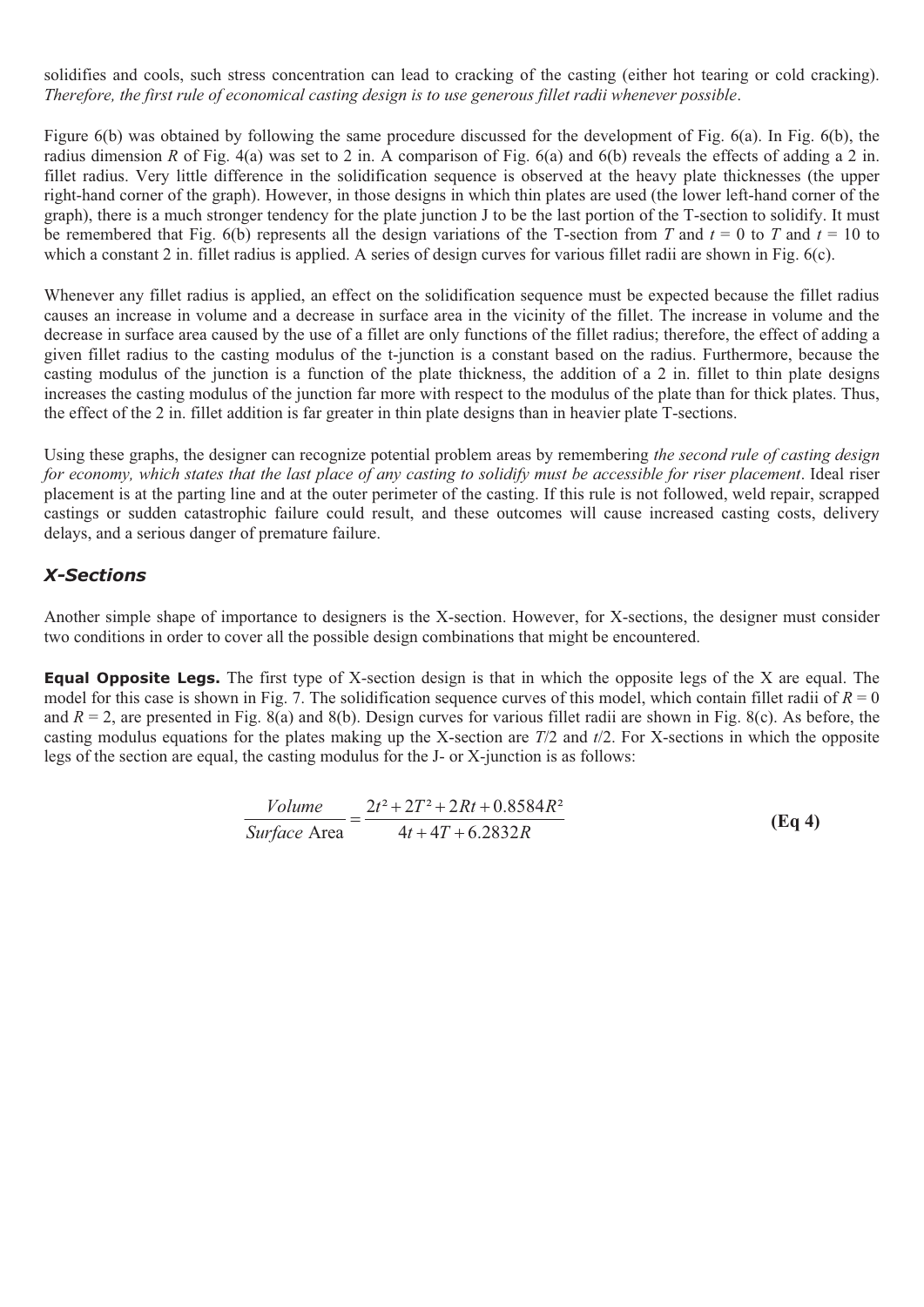solidifies and cools, such stress concentration can lead to cracking of the casting (either hot tearing or cold cracking). *Therefore, the first rule of economical casting design is to use generous fillet radii whenever possible*.

Figure 6(b) was obtained by following the same procedure discussed for the development of Fig. 6(a). In Fig. 6(b), the radius dimension *R* of Fig. 4(a) was set to 2 in. A comparison of Fig. 6(a) and 6(b) reveals the effects of adding a 2 in. fillet radius. Very little difference in the solidification sequence is observed at the heavy plate thicknesses (the upper right-hand corner of the graph). However, in those designs in which thin plates are used (the lower left-hand corner of the graph), there is a much stronger tendency for the plate junction J to be the last portion of the T-section to solidify. It must be remembered that Fig. 6(b) represents all the design variations of the T-section from *T* and  $t = 0$  to *T* and  $t = 10$  to which a constant 2 in. fillet radius is applied. A series of design curves for various fillet radii are shown in Fig. 6(c).

Whenever any fillet radius is applied, an effect on the solidification sequence must be expected because the fillet radius causes an increase in volume and a decrease in surface area in the vicinity of the fillet. The increase in volume and the decrease in surface area caused by the use of a fillet are only functions of the fillet radius; therefore, the effect of adding a given fillet radius to the casting modulus of the t-junction is a constant based on the radius. Furthermore, because the casting modulus of the junction is a function of the plate thickness, the addition of a 2 in. fillet to thin plate designs increases the casting modulus of the junction far more with respect to the modulus of the plate than for thick plates. Thus, the effect of the 2 in. fillet addition is far greater in thin plate designs than in heavier plate T-sections.

Using these graphs, the designer can recognize potential problem areas by remembering *the second rule of casting design for economy, which states that the last place of any casting to solidify must be accessible for riser placement*. Ideal riser placement is at the parting line and at the outer perimeter of the casting. If this rule is not followed, weld repair, scrapped castings or sudden catastrophic failure could result, and these outcomes will cause increased casting costs, delivery delays, and a serious danger of premature failure.

### *X-Sections*

Another simple shape of importance to designers is the X-section. However, for X-sections, the designer must consider two conditions in order to cover all the possible design combinations that might be encountered.

**Equal Opposite Legs.** The first type of X-section design is that in which the opposite legs of the X are equal. The model for this case is shown in Fig. 7. The solidification sequence curves of this model, which contain fillet radii of  $R = 0$ and  $R = 2$ , are presented in Fig. 8(a) and 8(b). Design curves for various fillet radii are shown in Fig. 8(c). As before, the casting modulus equations for the plates making up the X-section are *T*/2 and *t*/2. For X-sections in which the opposite legs of the section are equal, the casting modulus for the J- or X-junction is as follows:

$$
\frac{Volume}{Surface Area} = \frac{2t^2 + 2T^2 + 2Rt + 0.8584R^2}{4t + 4T + 6.2832R}
$$
 (Eq 4)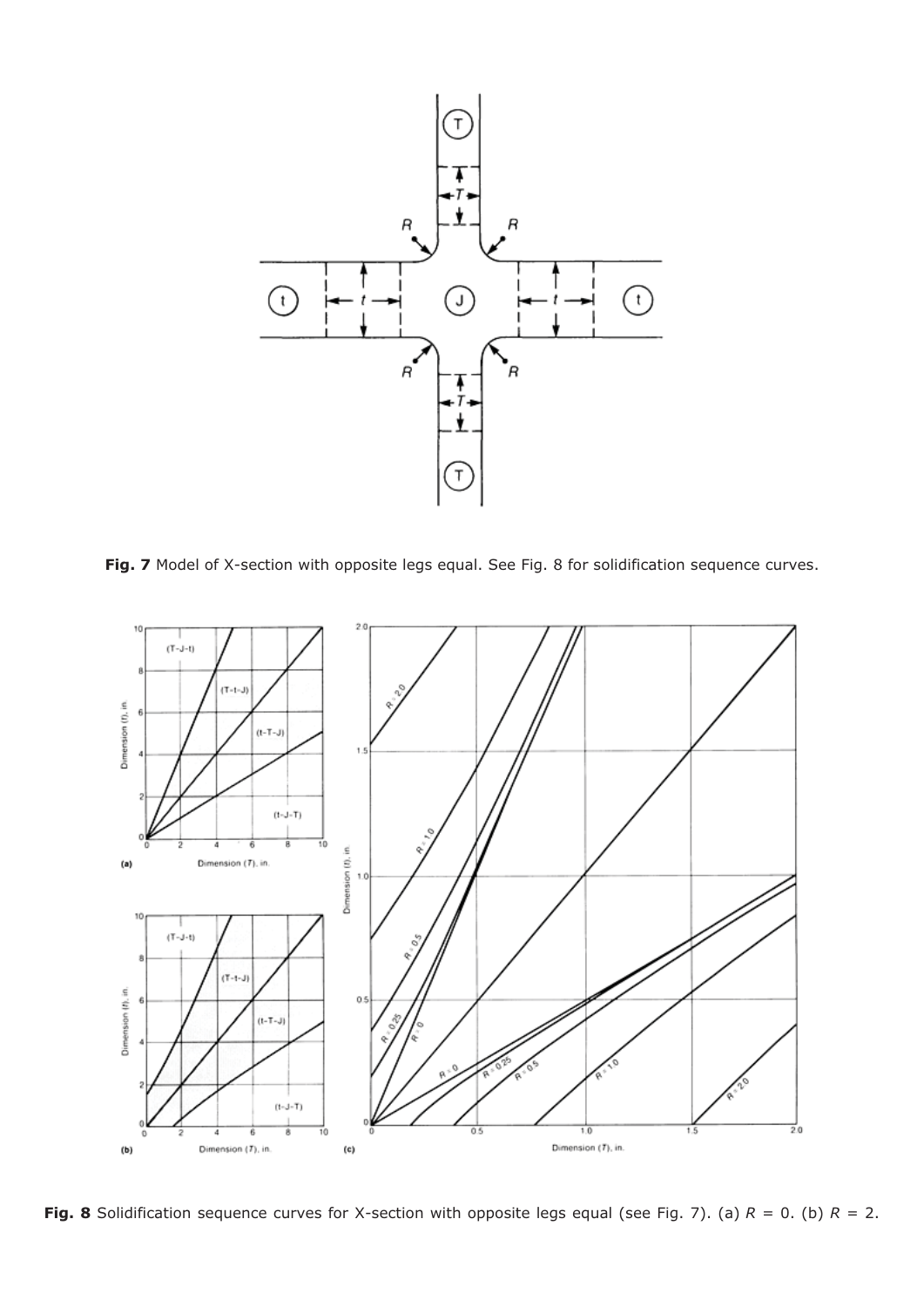![](_page_11_Figure_0.jpeg)

Fig. 7 Model of X-section with opposite legs equal. See Fig. 8 for solidification sequence curves.

![](_page_11_Figure_2.jpeg)

**Fig. 8** Solidification sequence curves for X-section with opposite legs equal (see Fig. 7). (a)  $R = 0$ . (b)  $R = 2$ .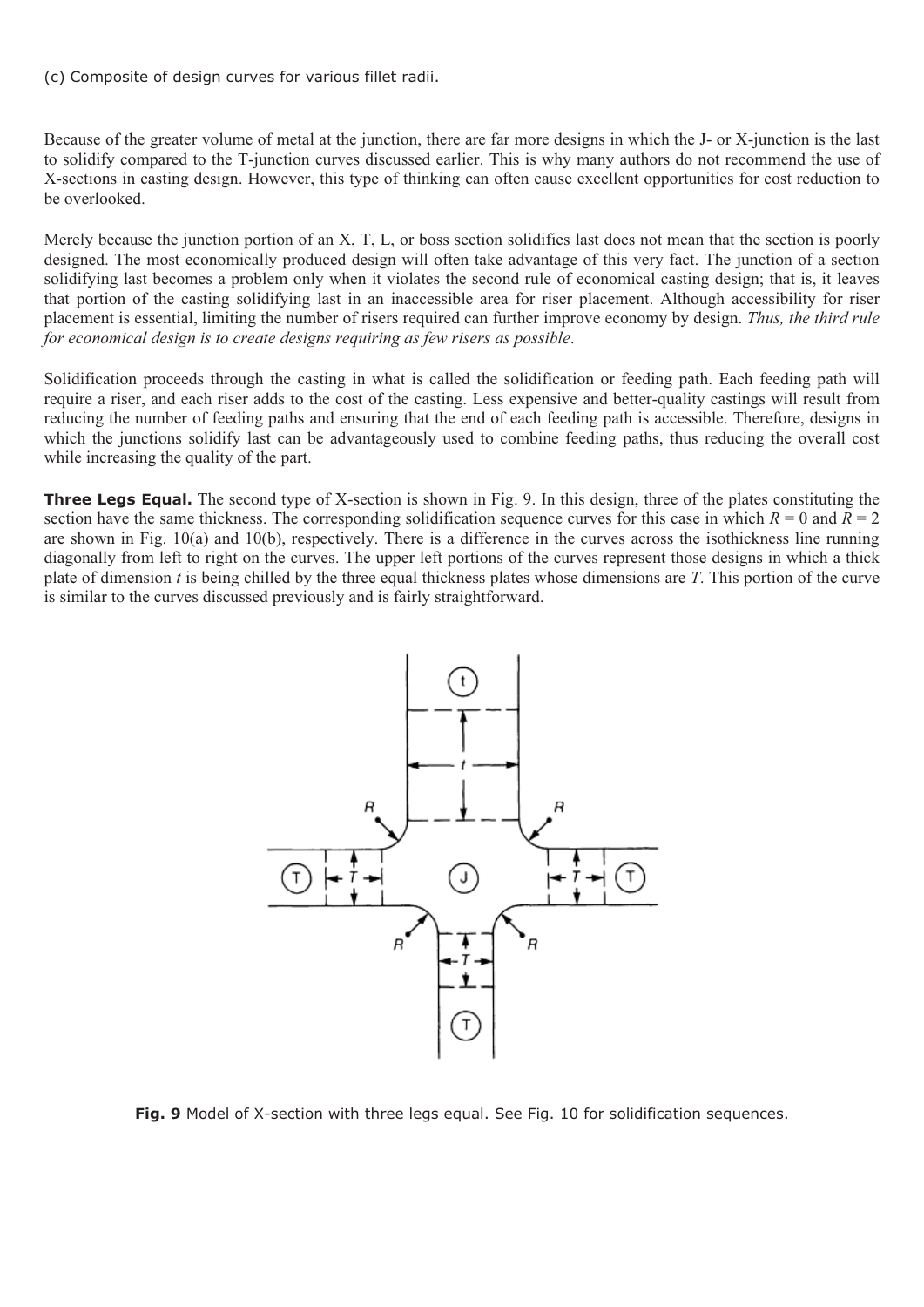(c) Composite of design curves for various fillet radii.

Because of the greater volume of metal at the junction, there are far more designs in which the J- or X-junction is the last to solidify compared to the T-junction curves discussed earlier. This is why many authors do not recommend the use of X-sections in casting design. However, this type of thinking can often cause excellent opportunities for cost reduction to be overlooked.

Merely because the junction portion of an X, T, L, or boss section solidifies last does not mean that the section is poorly designed. The most economically produced design will often take advantage of this very fact. The junction of a section solidifying last becomes a problem only when it violates the second rule of economical casting design; that is, it leaves that portion of the casting solidifying last in an inaccessible area for riser placement. Although accessibility for riser placement is essential, limiting the number of risers required can further improve economy by design. *Thus, the third rule for economical design is to create designs requiring as few risers as possible*.

Solidification proceeds through the casting in what is called the solidification or feeding path. Each feeding path will require a riser, and each riser adds to the cost of the casting. Less expensive and better-quality castings will result from reducing the number of feeding paths and ensuring that the end of each feeding path is accessible. Therefore, designs in which the junctions solidify last can be advantageously used to combine feeding paths, thus reducing the overall cost while increasing the quality of the part.

**Three Legs Equal.** The second type of X-section is shown in Fig. 9. In this design, three of the plates constituting the section have the same thickness. The corresponding solidification sequence curves for this case in which  $R = 0$  and  $R = 2$ are shown in Fig. 10(a) and 10(b), respectively. There is a difference in the curves across the isothickness line running diagonally from left to right on the curves. The upper left portions of the curves represent those designs in which a thick plate of dimension *t* is being chilled by the three equal thickness plates whose dimensions are *T*. This portion of the curve is similar to the curves discussed previously and is fairly straightforward.

![](_page_12_Figure_5.jpeg)

**Fig. 9** Model of X-section with three legs equal. See Fig. 10 for solidification sequences.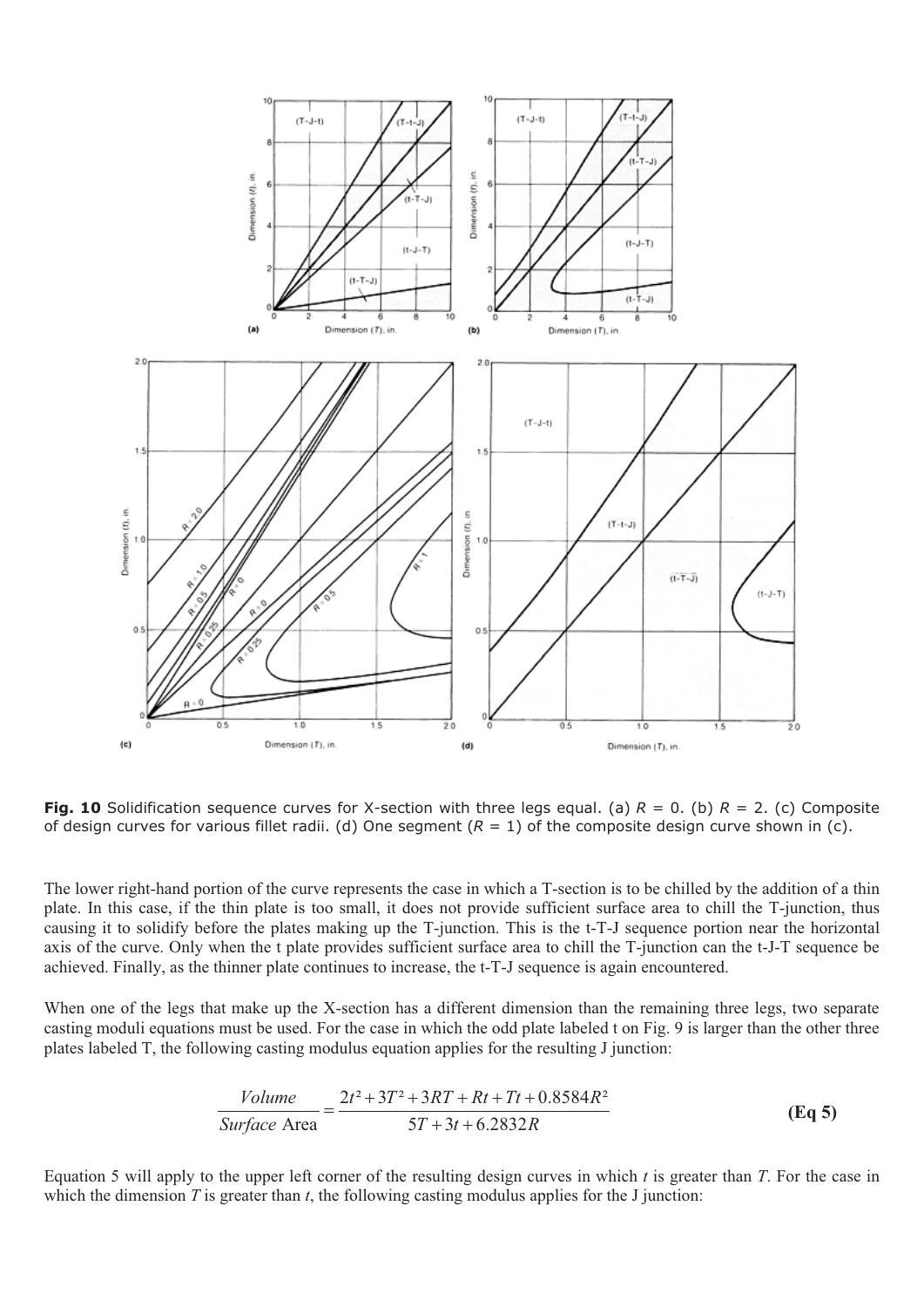![](_page_13_Figure_0.jpeg)

**Fig. 10** Solidification sequence curves for X-section with three legs equal. (a)  $R = 0$ . (b)  $R = 2$ . (c) Composite of design curves for various fillet radii. (d) One segment (*R* = 1) of the composite design curve shown in (c).

The lower right-hand portion of the curve represents the case in which a T-section is to be chilled by the addition of a thin plate. In this case, if the thin plate is too small, it does not provide sufficient surface area to chill the T-junction, thus causing it to solidify before the plates making up the T-junction. This is the t-T-J sequence portion near the horizontal axis of the curve. Only when the t plate provides sufficient surface area to chill the T-junction can the t-J-T sequence be achieved. Finally, as the thinner plate continues to increase, the t-T-J sequence is again encountered.

When one of the legs that make up the X-section has a different dimension than the remaining three legs, two separate casting moduli equations must be used. For the case in which the odd plate labeled t on Fig. 9 is larger than the other three plates labeled T, the following casting modulus equation applies for the resulting J junction:

$$
\frac{Volume}{Surface Area} = \frac{2t^2 + 3T^2 + 3RT + Rt + Tt + 0.8584R^2}{5T + 3t + 6.2832R}
$$
 (Eq 5)

Equation 5 will apply to the upper left corner of the resulting design curves in which *t* is greater than *T*. For the case in which the dimension *T* is greater than *t*, the following casting modulus applies for the *J* junction: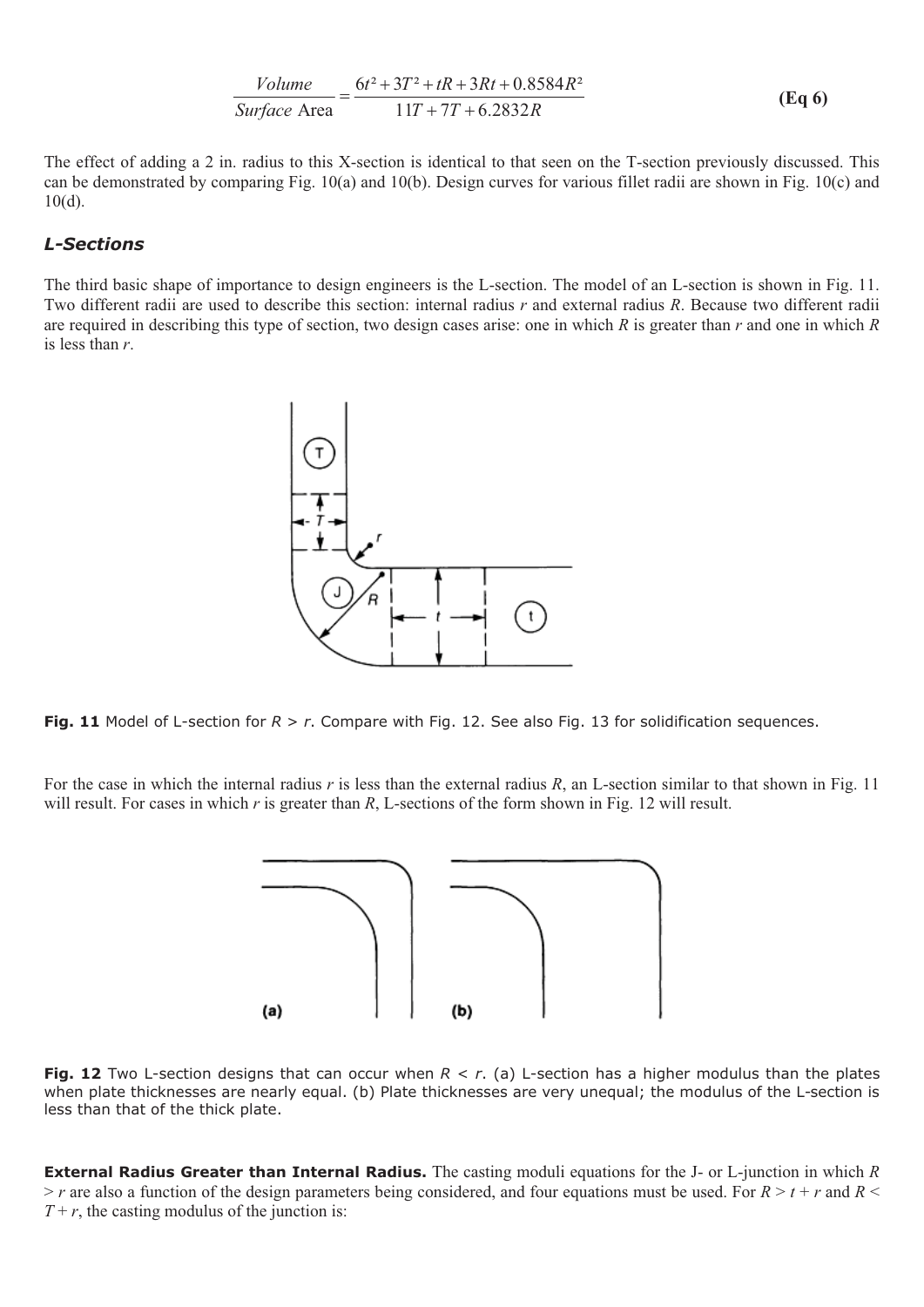$$
\frac{Volume}{Surface Area} = \frac{6t^2 + 3T^2 + tR + 3Rt + 0.8584R^2}{11T + 7T + 6.2832R}
$$
 (Eq 6)

The effect of adding a 2 in. radius to this X-section is identical to that seen on the T-section previously discussed. This can be demonstrated by comparing Fig. 10(a) and 10(b). Design curves for various fillet radii are shown in Fig. 10(c) and  $10(d)$ .

#### *L-Sections*

The third basic shape of importance to design engineers is the L-section. The model of an L-section is shown in Fig. 11. Two different radii are used to describe this section: internal radius *r* and external radius *R*. Because two different radii are required in describing this type of section, two design cases arise: one in which *R* is greater than *r* and one in which *R* is less than *r*.

![](_page_14_Figure_4.jpeg)

**Fig. 11** Model of L-section for *R* > *r*. Compare with Fig. 12. See also Fig. 13 for solidification sequences.

For the case in which the internal radius *r* is less than the external radius *R*, an L-section similar to that shown in Fig. 11 will result. For cases in which *r* is greater than *R*, L-sections of the form shown in Fig. 12 will result.

![](_page_14_Figure_7.jpeg)

**Fig. 12** Two L-section designs that can occur when  $R < r$ . (a) L-section has a higher modulus than the plates when plate thicknesses are nearly equal. (b) Plate thicknesses are very unequal; the modulus of the L-section is less than that of the thick plate.

**External Radius Greater than Internal Radius.** The casting moduli equations for the J- or L-junction in which *R*  $> r$  are also a function of the design parameters being considered, and four equations must be used. For  $R > t + r$  and  $R <$  $T + r$ , the casting modulus of the junction is: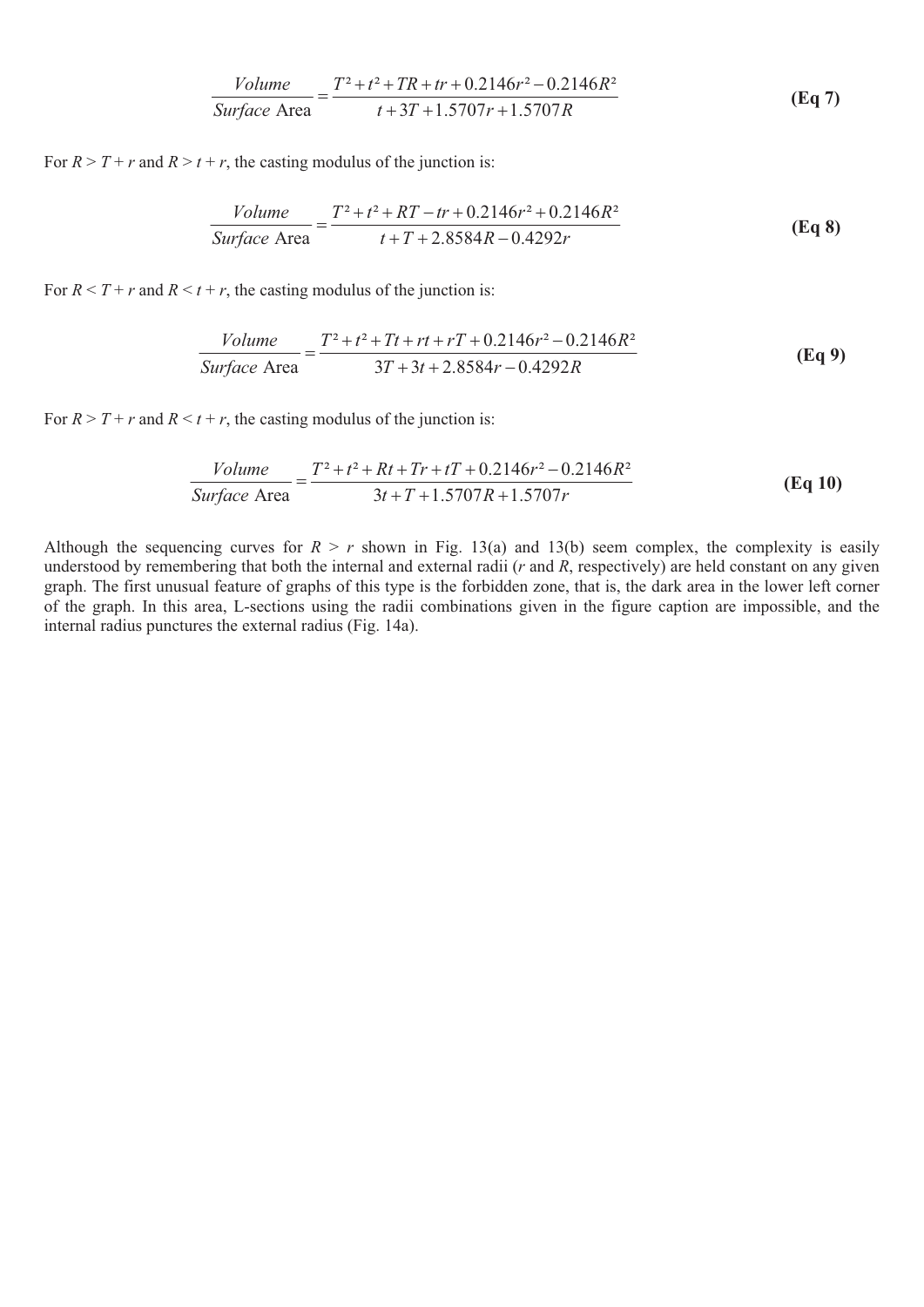$$
\frac{Volume}{Surface Area} = \frac{T^2 + t^2 + TR + tr + 0.2146r^2 - 0.2146R^2}{t + 3T + 1.5707r + 1.5707R}
$$
(Eq 7)

For  $R > T + r$  and  $R > t + r$ , the casting modulus of the junction is:

$$
\frac{Volume}{Surface Area} = \frac{T^2 + t^2 + RT - tr + 0.2146r^2 + 0.2146R^2}{t + T + 2.8584R - 0.4292r}
$$
(Eq 8)

For  $R < T + r$  and  $R < t + r$ , the casting modulus of the junction is:

$$
\frac{Volume}{Surface Area} = \frac{T^2 + t^2 + Tt + rt + rT + 0.2146r^2 - 0.2146R^2}{3T + 3t + 2.8584r - 0.4292R}
$$
(Eq 9)

For  $R > T + r$  and  $R < t + r$ , the casting modulus of the junction is:

$$
\frac{Volume}{Surface Area} = \frac{T^2 + t^2 + Rt + Tr + tT + 0.2146r^2 - 0.2146R^2}{3t + T + 1.5707R + 1.5707r}
$$
(Eq 10)

Although the sequencing curves for  $R > r$  shown in Fig. 13(a) and 13(b) seem complex, the complexity is easily understood by remembering that both the internal and external radii (*r* and *R*, respectively) are held constant on any given graph. The first unusual feature of graphs of this type is the forbidden zone, that is, the dark area in the lower left corner of the graph. In this area, L-sections using the radii combinations given in the figure caption are impossible, and the internal radius punctures the external radius (Fig. 14a).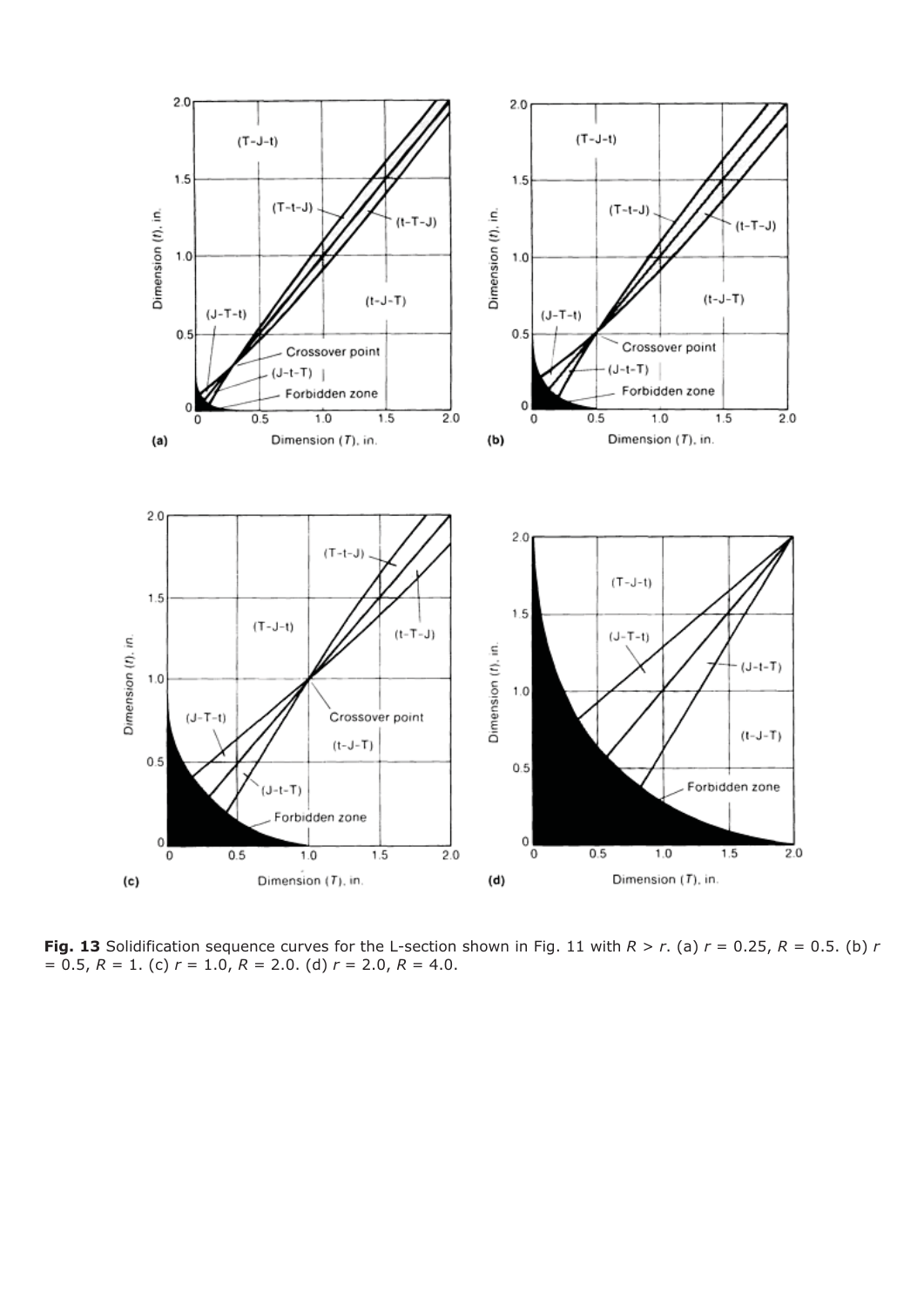![](_page_16_Figure_0.jpeg)

**Fig. 13** Solidification sequence curves for the L-section shown in Fig. 11 with  $R > r$ . (a)  $r = 0.25$ ,  $R = 0.5$ . (b)  $r = 0.25$  $= 0.5, R = 1.$  (c)  $r = 1.0, R = 2.0.$  (d)  $r = 2.0, R = 4.0.$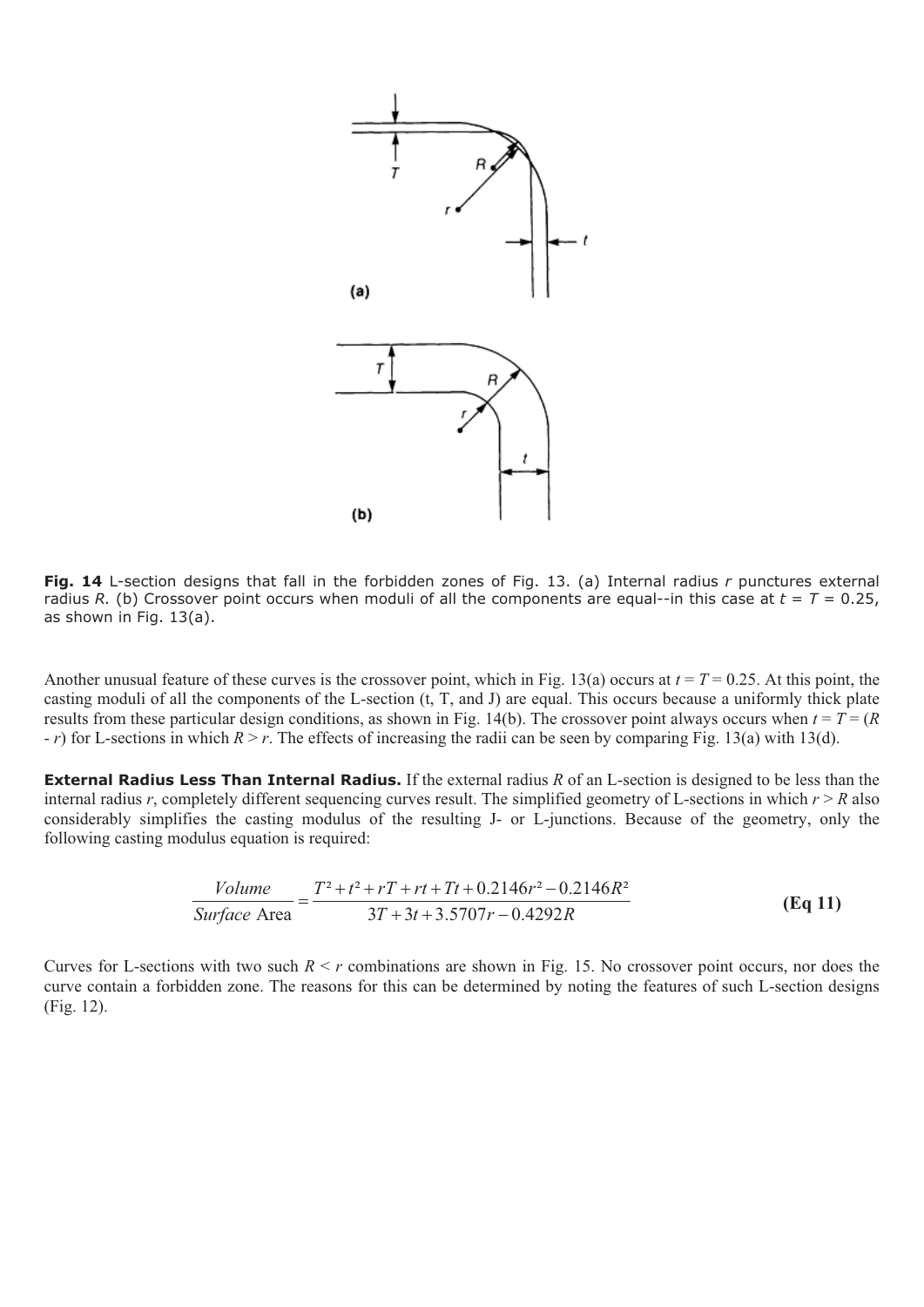![](_page_17_Figure_0.jpeg)

**Fig. 14** L-section designs that fall in the forbidden zones of Fig. 13. (a) Internal radius *r* punctures external radius *R*. (b) Crossover point occurs when moduli of all the components are equal--in this case at  $t = T = 0.25$ , as shown in Fig. 13(a).

Another unusual feature of these curves is the crossover point, which in Fig. 13(a) occurs at  $t = T = 0.25$ . At this point, the casting moduli of all the components of the L-section (t, T, and J) are equal. This occurs because a uniformly thick plate results from these particular design conditions, as shown in Fig. 14(b). The crossover point always occurs when  $t = T = (R)$ - *r*) for L-sections in which *R* > *r*. The effects of increasing the radii can be seen by comparing Fig. 13(a) with 13(d).

**External Radius Less Than Internal Radius.** If the external radius *R* of an L-section is designed to be less than the internal radius *r*, completely different sequencing curves result. The simplified geometry of L-sections in which *r* > *R* also considerably simplifies the casting modulus of the resulting J- or L-junctions. Because of the geometry, only the following casting modulus equation is required:

$$
\frac{Volume}{Surface Area} = \frac{T^2 + t^2 + rT + rt + Tt + 0.2146r^2 - 0.2146R^2}{3T + 3t + 3.5707r - 0.4292R}
$$
(Eq 11)

Curves for L-sections with two such  $R \le r$  combinations are shown in Fig. 15. No crossover point occurs, nor does the curve contain a forbidden zone. The reasons for this can be determined by noting the features of such L-section designs (Fig. 12).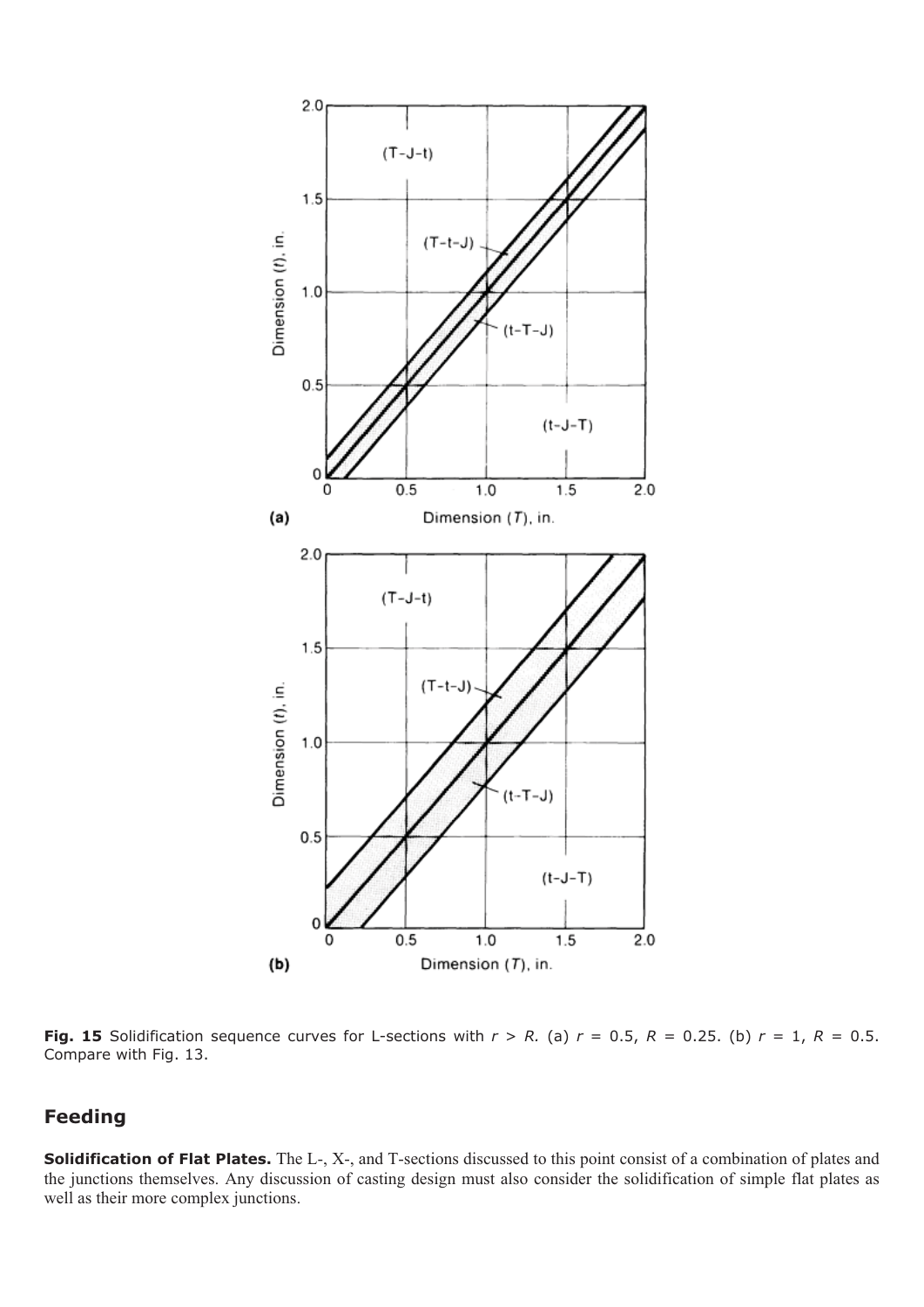![](_page_18_Figure_0.jpeg)

**Fig. 15** Solidification sequence curves for L-sections with  $r > R$ . (a)  $r = 0.5$ ,  $R = 0.25$ . (b)  $r = 1$ ,  $R = 0.5$ . Compare with Fig. 13.

# **Feeding**

**Solidification of Flat Plates.** The L-, X-, and T-sections discussed to this point consist of a combination of plates and the junctions themselves. Any discussion of casting design must also consider the solidification of simple flat plates as well as their more complex junctions.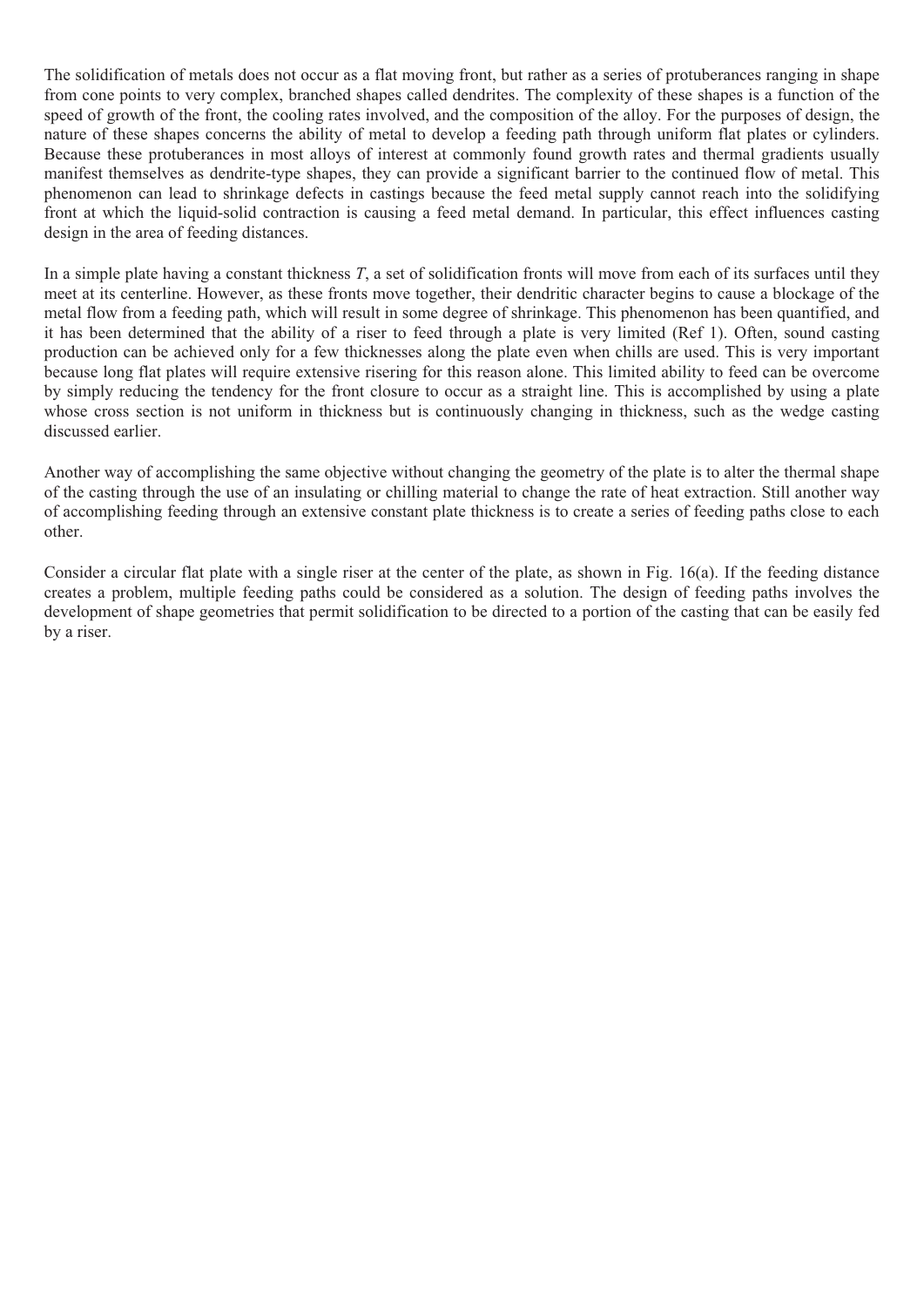The solidification of metals does not occur as a flat moving front, but rather as a series of protuberances ranging in shape from cone points to very complex, branched shapes called dendrites. The complexity of these shapes is a function of the speed of growth of the front, the cooling rates involved, and the composition of the alloy. For the purposes of design, the nature of these shapes concerns the ability of metal to develop a feeding path through uniform flat plates or cylinders. Because these protuberances in most alloys of interest at commonly found growth rates and thermal gradients usually manifest themselves as dendrite-type shapes, they can provide a significant barrier to the continued flow of metal. This phenomenon can lead to shrinkage defects in castings because the feed metal supply cannot reach into the solidifying front at which the liquid-solid contraction is causing a feed metal demand. In particular, this effect influences casting design in the area of feeding distances.

In a simple plate having a constant thickness *T*, a set of solidification fronts will move from each of its surfaces until they meet at its centerline. However, as these fronts move together, their dendritic character begins to cause a blockage of the metal flow from a feeding path, which will result in some degree of shrinkage. This phenomenon has been quantified, and it has been determined that the ability of a riser to feed through a plate is very limited (Ref 1). Often, sound casting production can be achieved only for a few thicknesses along the plate even when chills are used. This is very important because long flat plates will require extensive risering for this reason alone. This limited ability to feed can be overcome by simply reducing the tendency for the front closure to occur as a straight line. This is accomplished by using a plate whose cross section is not uniform in thickness but is continuously changing in thickness, such as the wedge casting discussed earlier.

Another way of accomplishing the same objective without changing the geometry of the plate is to alter the thermal shape of the casting through the use of an insulating or chilling material to change the rate of heat extraction. Still another way of accomplishing feeding through an extensive constant plate thickness is to create a series of feeding paths close to each other.

Consider a circular flat plate with a single riser at the center of the plate, as shown in Fig. 16(a). If the feeding distance creates a problem, multiple feeding paths could be considered as a solution. The design of feeding paths involves the development of shape geometries that permit solidification to be directed to a portion of the casting that can be easily fed by a riser.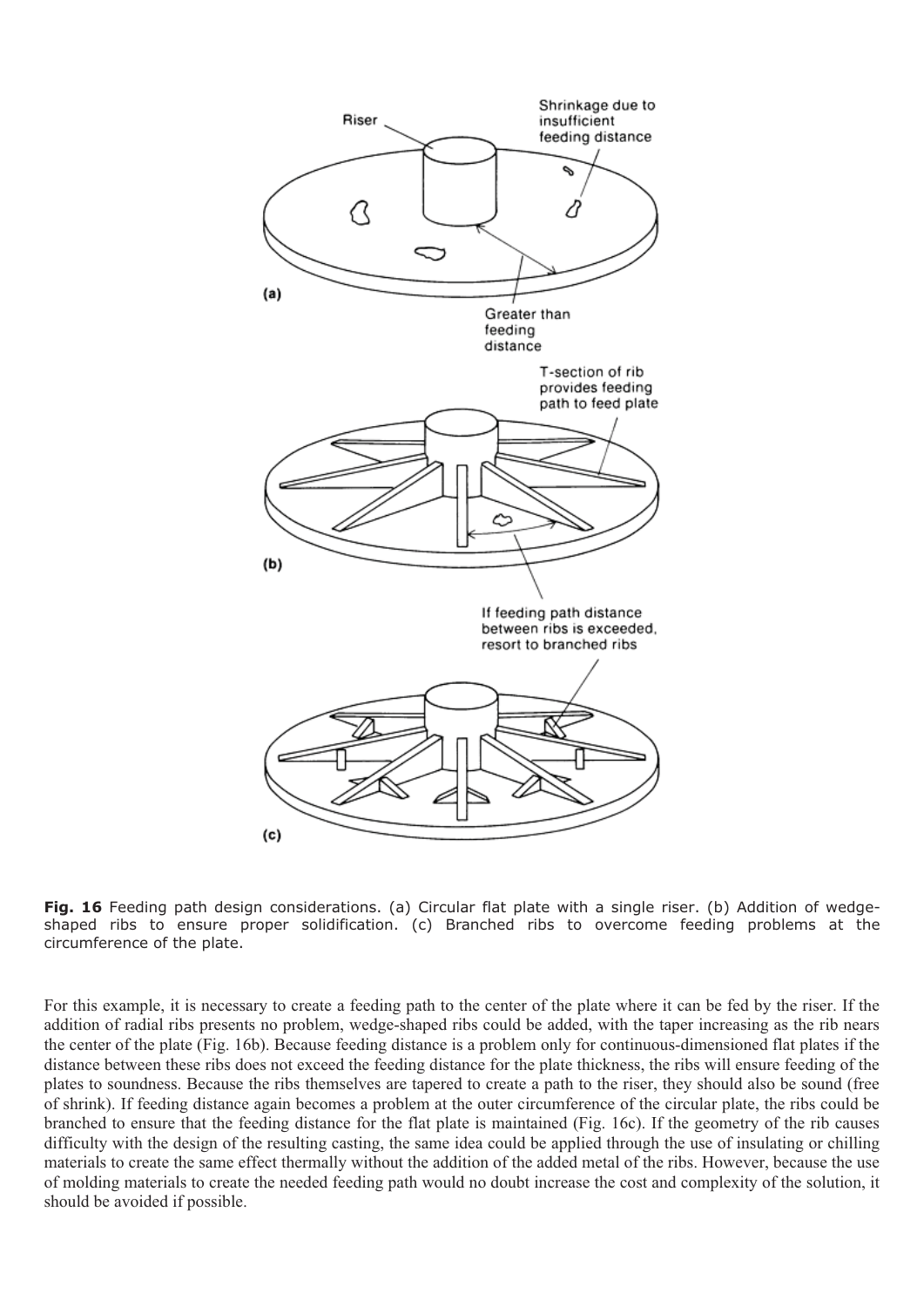![](_page_20_Figure_0.jpeg)

Fig. 16 Feeding path design considerations. (a) Circular flat plate with a single riser. (b) Addition of wedgeshaped ribs to ensure proper solidification. (c) Branched ribs to overcome feeding problems at the circumference of the plate.

For this example, it is necessary to create a feeding path to the center of the plate where it can be fed by the riser. If the addition of radial ribs presents no problem, wedge-shaped ribs could be added, with the taper increasing as the rib nears the center of the plate (Fig. 16b). Because feeding distance is a problem only for continuous-dimensioned flat plates if the distance between these ribs does not exceed the feeding distance for the plate thickness, the ribs will ensure feeding of the plates to soundness. Because the ribs themselves are tapered to create a path to the riser, they should also be sound (free of shrink). If feeding distance again becomes a problem at the outer circumference of the circular plate, the ribs could be branched to ensure that the feeding distance for the flat plate is maintained (Fig. 16c). If the geometry of the rib causes difficulty with the design of the resulting casting, the same idea could be applied through the use of insulating or chilling materials to create the same effect thermally without the addition of the added metal of the ribs. However, because the use of molding materials to create the needed feeding path would no doubt increase the cost and complexity of the solution, it should be avoided if possible.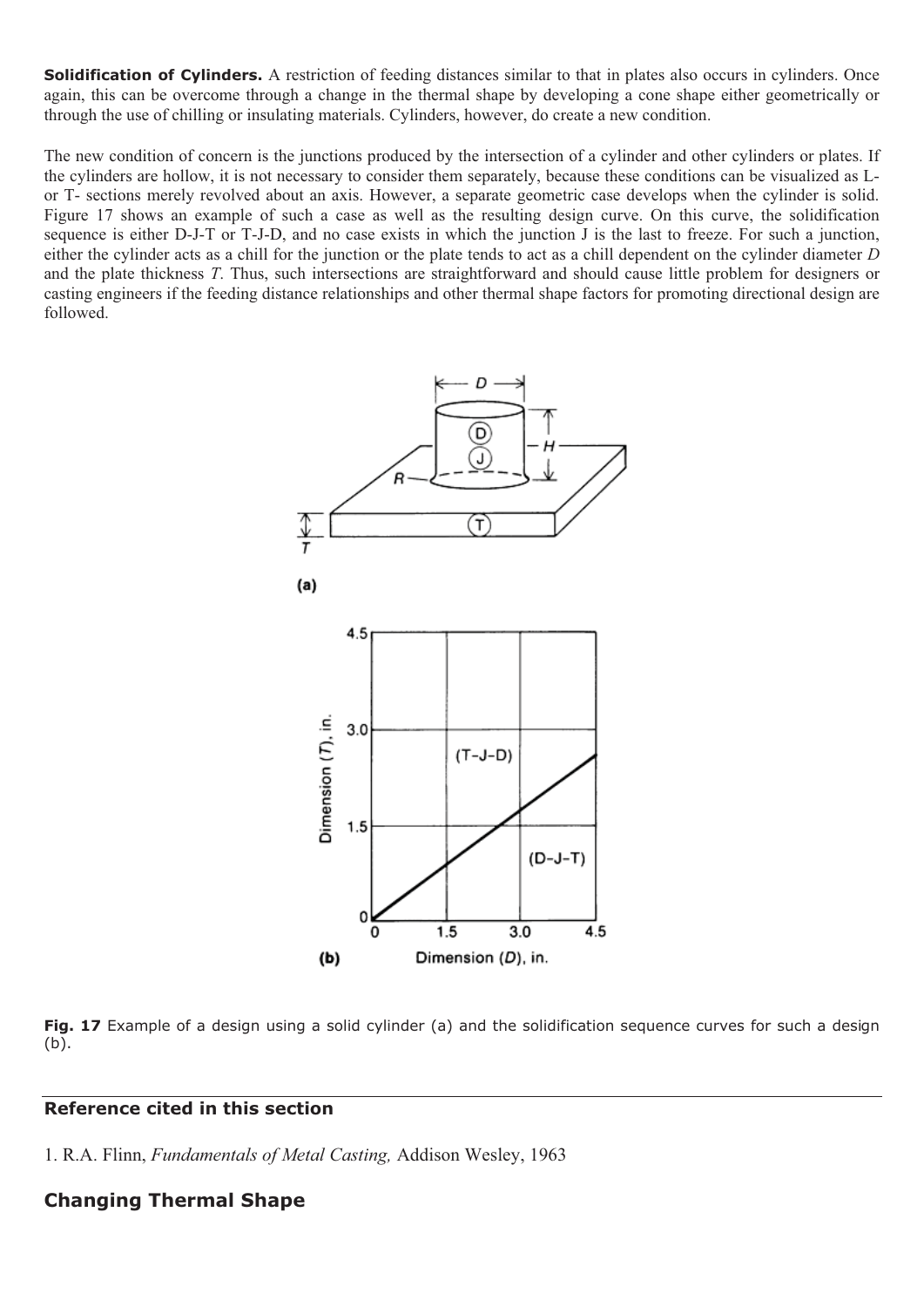**Solidification of Cylinders.** A restriction of feeding distances similar to that in plates also occurs in cylinders. Once again, this can be overcome through a change in the thermal shape by developing a cone shape either geometrically or through the use of chilling or insulating materials. Cylinders, however, do create a new condition.

The new condition of concern is the junctions produced by the intersection of a cylinder and other cylinders or plates. If the cylinders are hollow, it is not necessary to consider them separately, because these conditions can be visualized as Lor T- sections merely revolved about an axis. However, a separate geometric case develops when the cylinder is solid. Figure 17 shows an example of such a case as well as the resulting design curve. On this curve, the solidification sequence is either D-J-T or T-J-D, and no case exists in which the junction J is the last to freeze. For such a junction, either the cylinder acts as a chill for the junction or the plate tends to act as a chill dependent on the cylinder diameter *D* and the plate thickness *T*. Thus, such intersections are straightforward and should cause little problem for designers or casting engineers if the feeding distance relationships and other thermal shape factors for promoting directional design are followed.

![](_page_21_Figure_2.jpeg)

![](_page_21_Figure_3.jpeg)

#### **Reference cited in this section**

1. R.A. Flinn, *Fundamentals of Metal Casting,* Addison Wesley, 1963

## **Changing Thermal Shape**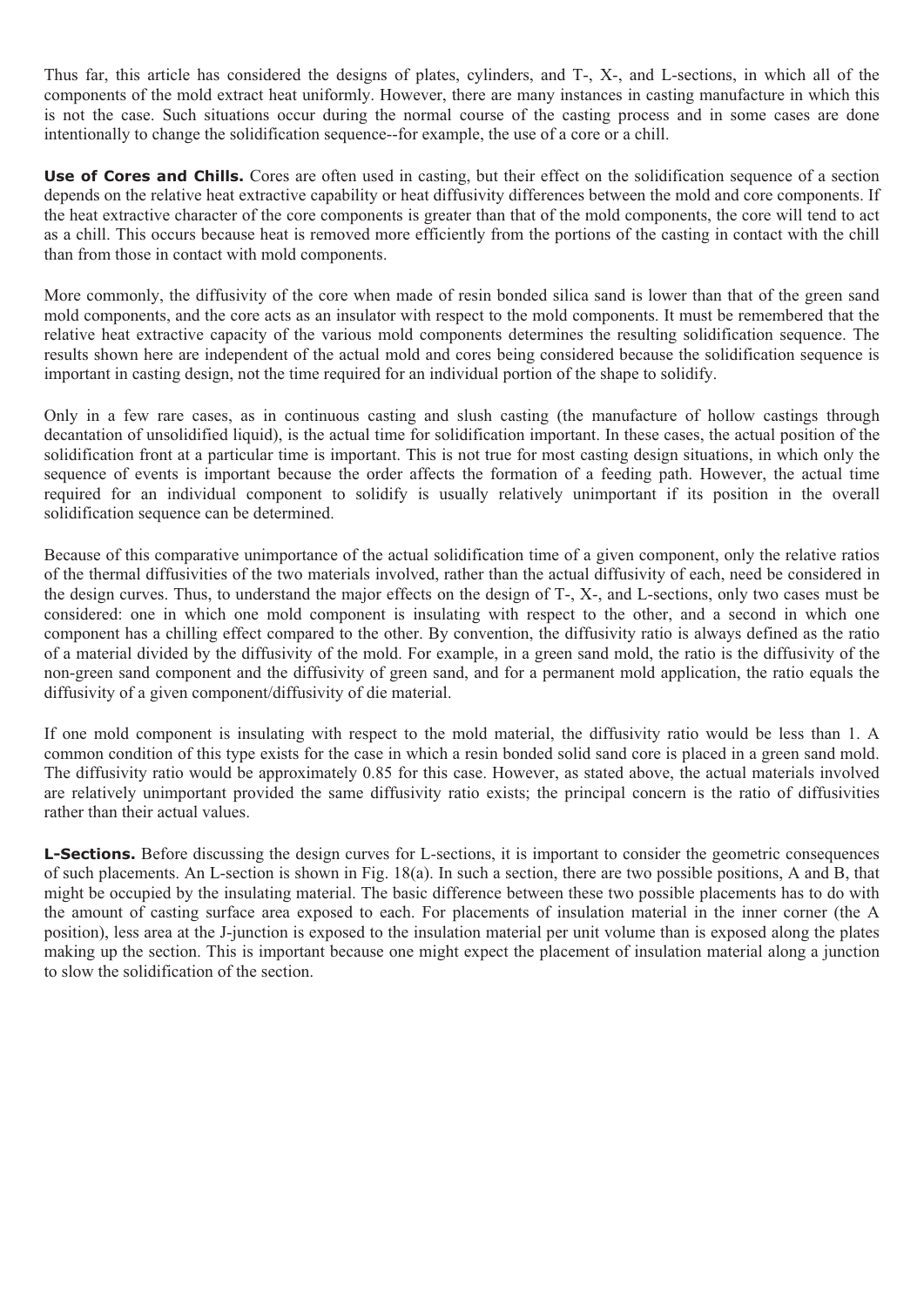Thus far, this article has considered the designs of plates, cylinders, and T-, X-, and L-sections, in which all of the components of the mold extract heat uniformly. However, there are many instances in casting manufacture in which this is not the case. Such situations occur during the normal course of the casting process and in some cases are done intentionally to change the solidification sequence--for example, the use of a core or a chill.

**Use of Cores and Chills.** Cores are often used in casting, but their effect on the solidification sequence of a section depends on the relative heat extractive capability or heat diffusivity differences between the mold and core components. If the heat extractive character of the core components is greater than that of the mold components, the core will tend to act as a chill. This occurs because heat is removed more efficiently from the portions of the casting in contact with the chill than from those in contact with mold components.

More commonly, the diffusivity of the core when made of resin bonded silica sand is lower than that of the green sand mold components, and the core acts as an insulator with respect to the mold components. It must be remembered that the relative heat extractive capacity of the various mold components determines the resulting solidification sequence. The results shown here are independent of the actual mold and cores being considered because the solidification sequence is important in casting design, not the time required for an individual portion of the shape to solidify.

Only in a few rare cases, as in continuous casting and slush casting (the manufacture of hollow castings through decantation of unsolidified liquid), is the actual time for solidification important. In these cases, the actual position of the solidification front at a particular time is important. This is not true for most casting design situations, in which only the sequence of events is important because the order affects the formation of a feeding path. However, the actual time required for an individual component to solidify is usually relatively unimportant if its position in the overall solidification sequence can be determined.

Because of this comparative unimportance of the actual solidification time of a given component, only the relative ratios of the thermal diffusivities of the two materials involved, rather than the actual diffusivity of each, need be considered in the design curves. Thus, to understand the major effects on the design of T-, X-, and L-sections, only two cases must be considered: one in which one mold component is insulating with respect to the other, and a second in which one component has a chilling effect compared to the other. By convention, the diffusivity ratio is always defined as the ratio of a material divided by the diffusivity of the mold. For example, in a green sand mold, the ratio is the diffusivity of the non-green sand component and the diffusivity of green sand, and for a permanent mold application, the ratio equals the diffusivity of a given component/diffusivity of die material.

If one mold component is insulating with respect to the mold material, the diffusivity ratio would be less than 1. A common condition of this type exists for the case in which a resin bonded solid sand core is placed in a green sand mold. The diffusivity ratio would be approximately 0.85 for this case. However, as stated above, the actual materials involved are relatively unimportant provided the same diffusivity ratio exists; the principal concern is the ratio of diffusivities rather than their actual values.

**L-Sections.** Before discussing the design curves for L-sections, it is important to consider the geometric consequences of such placements. An L-section is shown in Fig. 18(a). In such a section, there are two possible positions, A and B, that might be occupied by the insulating material. The basic difference between these two possible placements has to do with the amount of casting surface area exposed to each. For placements of insulation material in the inner corner (the A position), less area at the J-junction is exposed to the insulation material per unit volume than is exposed along the plates making up the section. This is important because one might expect the placement of insulation material along a junction to slow the solidification of the section.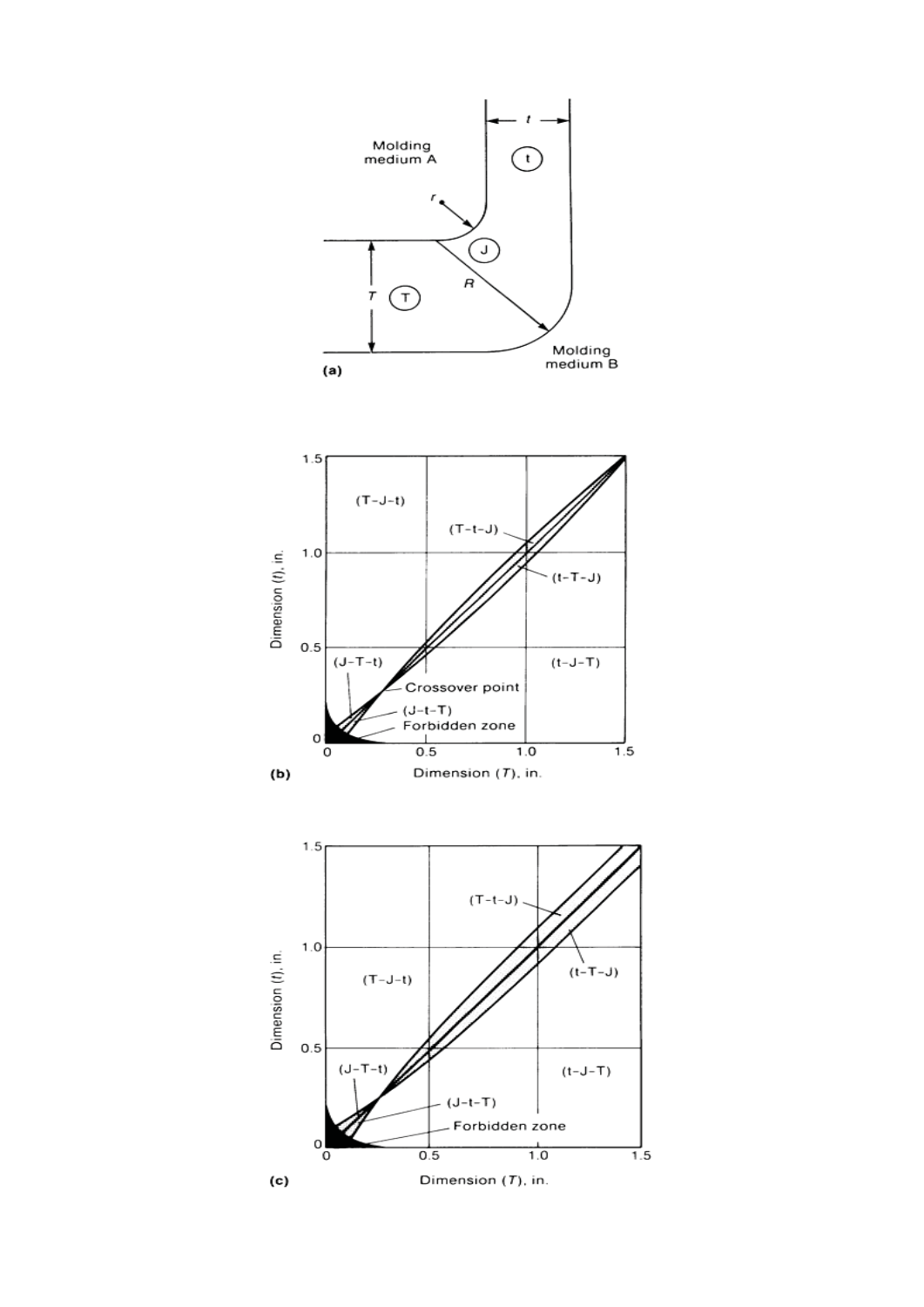![](_page_23_Figure_0.jpeg)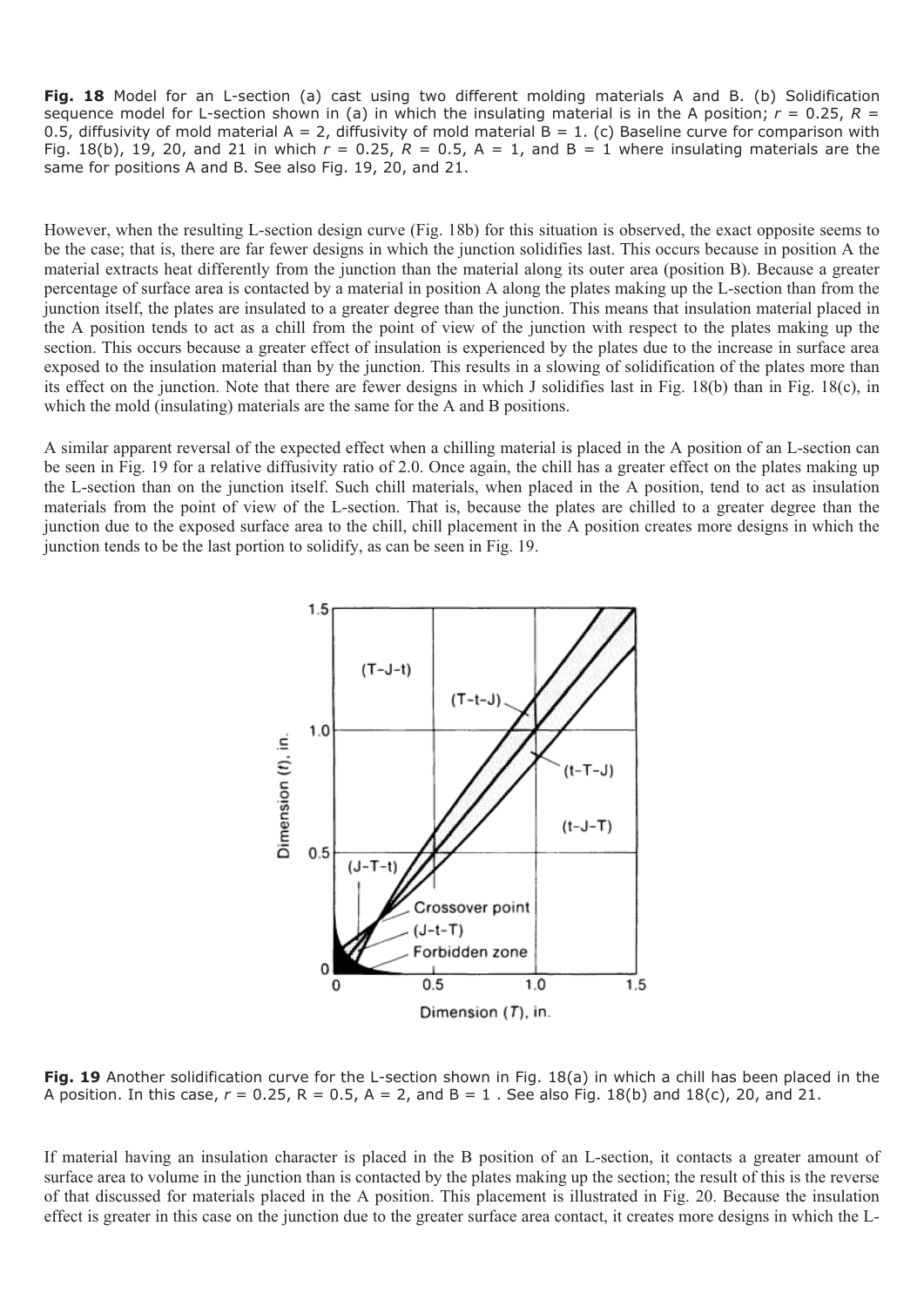**Fig. 18** Model for an L-section (a) cast using two different molding materials A and B. (b) Solidification sequence model for L-section shown in (a) in which the insulating material is in the A position;  $r = 0.25$ ,  $R =$ 0.5, diffusivity of mold material A = 2, diffusivity of mold material B = 1. (c) Baseline curve for comparison with Fig. 18(b), 19, 20, and 21 in which  $r = 0.25$ ,  $R = 0.5$ ,  $A = 1$ , and  $B = 1$  where insulating materials are the same for positions A and B. See also Fig. 19, 20, and 21.

However, when the resulting L-section design curve (Fig. 18b) for this situation is observed, the exact opposite seems to be the case; that is, there are far fewer designs in which the junction solidifies last. This occurs because in position A the material extracts heat differently from the junction than the material along its outer area (position B). Because a greater percentage of surface area is contacted by a material in position A along the plates making up the L-section than from the junction itself, the plates are insulated to a greater degree than the junction. This means that insulation material placed in the A position tends to act as a chill from the point of view of the junction with respect to the plates making up the section. This occurs because a greater effect of insulation is experienced by the plates due to the increase in surface area exposed to the insulation material than by the junction. This results in a slowing of solidification of the plates more than its effect on the junction. Note that there are fewer designs in which J solidifies last in Fig. 18(b) than in Fig. 18(c), in which the mold (insulating) materials are the same for the A and B positions.

A similar apparent reversal of the expected effect when a chilling material is placed in the A position of an L-section can be seen in Fig. 19 for a relative diffusivity ratio of 2.0. Once again, the chill has a greater effect on the plates making up the L-section than on the junction itself. Such chill materials, when placed in the A position, tend to act as insulation materials from the point of view of the L-section. That is, because the plates are chilled to a greater degree than the junction due to the exposed surface area to the chill, chill placement in the A position creates more designs in which the junction tends to be the last portion to solidify, as can be seen in Fig. 19.

![](_page_24_Figure_3.jpeg)

**Fig. 19** Another solidification curve for the L-section shown in Fig. 18(a) in which a chill has been placed in the A position. In this case,  $r = 0.25$ ,  $R = 0.5$ ,  $A = 2$ , and  $B = 1$ . See also Fig. 18(b) and 18(c), 20, and 21.

If material having an insulation character is placed in the B position of an L-section, it contacts a greater amount of surface area to volume in the junction than is contacted by the plates making up the section; the result of this is the reverse of that discussed for materials placed in the A position. This placement is illustrated in Fig. 20. Because the insulation effect is greater in this case on the junction due to the greater surface area contact, it creates more designs in which the L-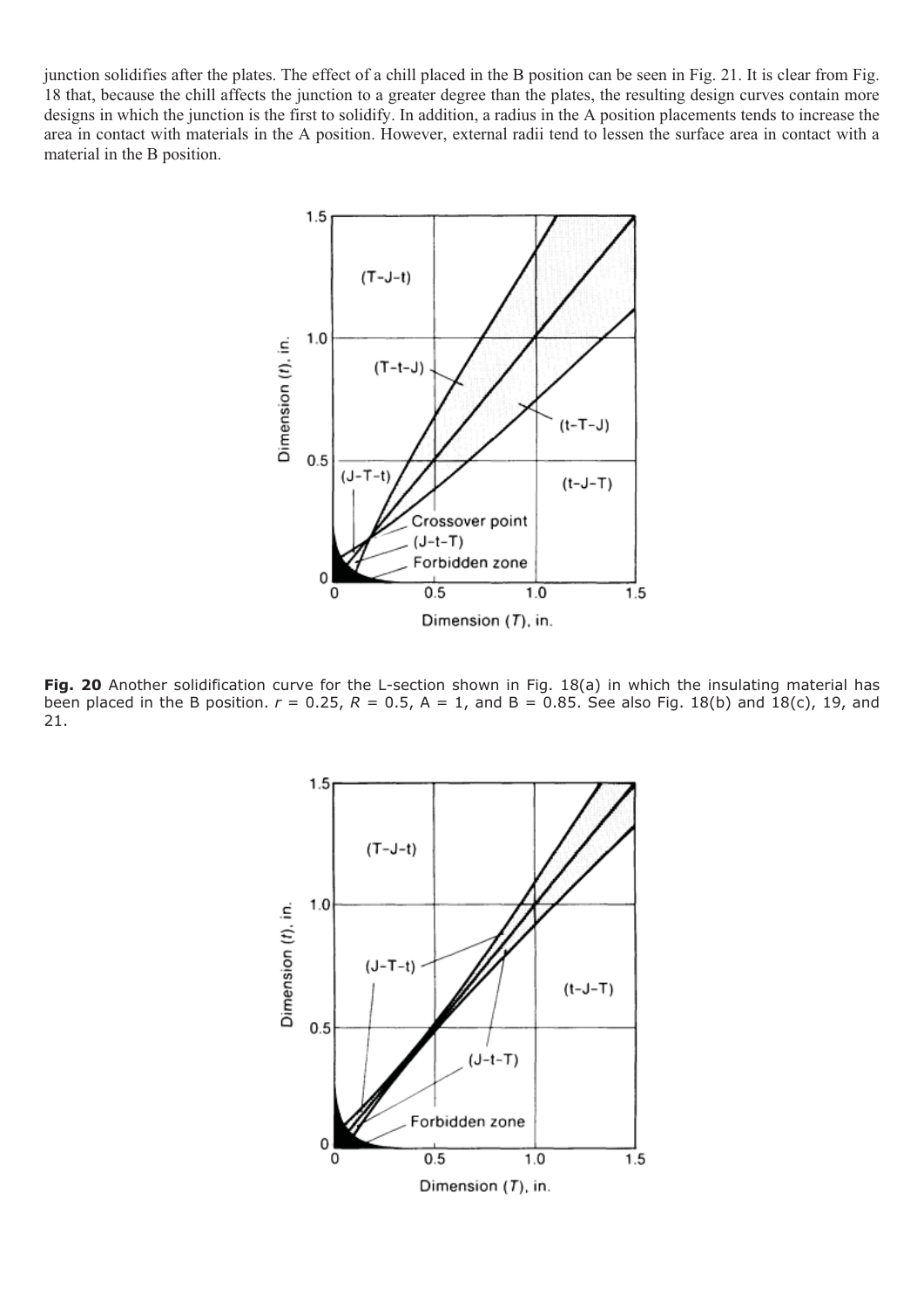junction solidifies after the plates. The effect of a chill placed in the B position can be seen in Fig. 21. It is clear from Fig. 18 that, because the chill affects the junction to a greater degree than the plates, the resulting design curves contain more designs in which the junction is the first to solidify. In addition, a radius in the A position placements tends to increase the area in contact with materials in the A position. However, external radii tend to lessen the surface area in contact with a material in the B position.

![](_page_25_Figure_1.jpeg)

**Fig. 20** Another solidification curve for the L-section shown in Fig. 18(a) in which the insulating material has been placed in the B position.  $r = 0.25$ ,  $R = 0.5$ ,  $A = 1$ , and  $B = 0.85$ . See also Fig. 18(b) and 18(c), 19, and 21.

![](_page_25_Figure_3.jpeg)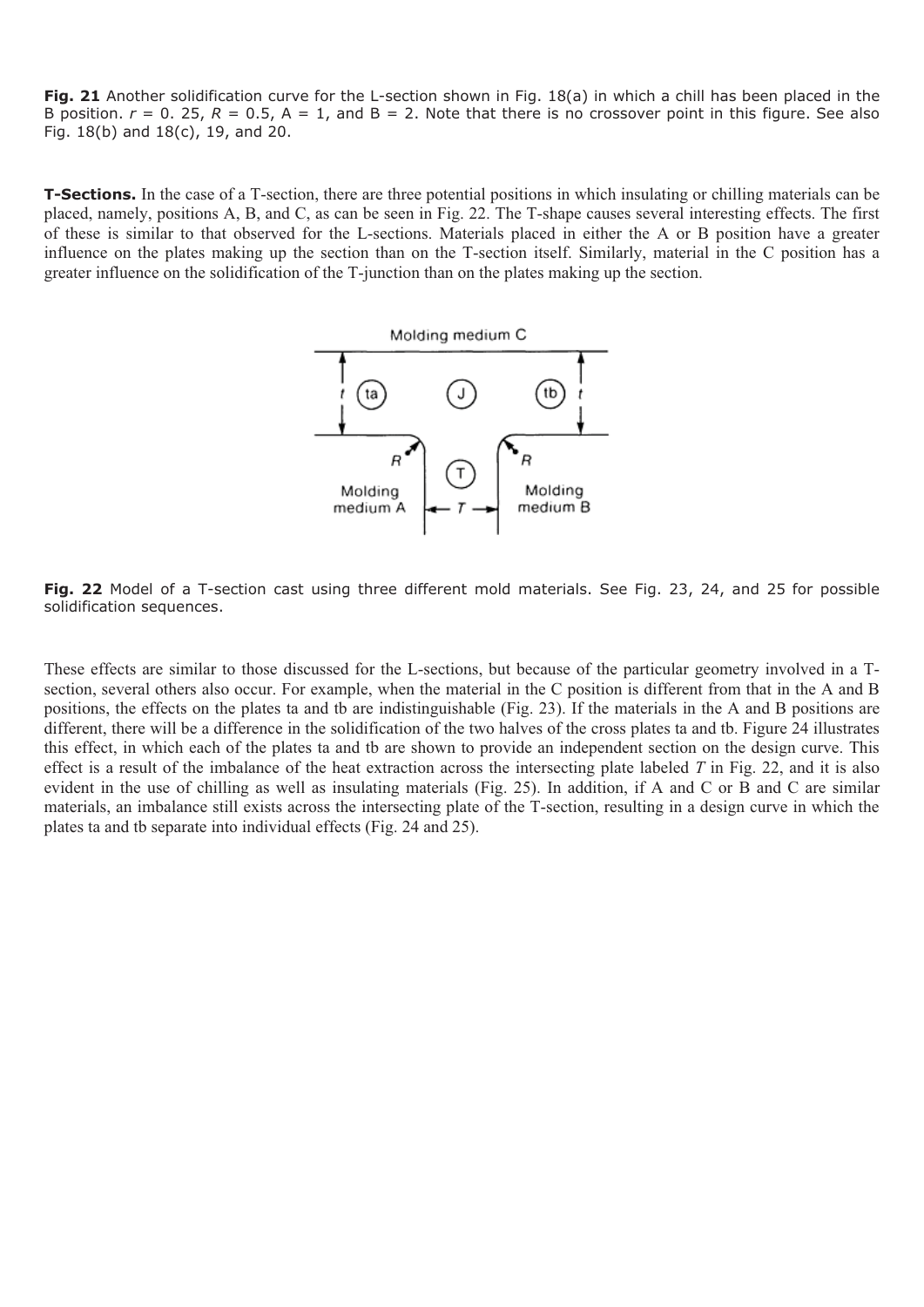**Fig. 21** Another solidification curve for the L-section shown in Fig. 18(a) in which a chill has been placed in the B position.  $r = 0$ . 25,  $R = 0.5$ ,  $A = 1$ , and  $B = 2$ . Note that there is no crossover point in this figure. See also Fig. 18(b) and 18(c), 19, and 20.

**T-Sections.** In the case of a T-section, there are three potential positions in which insulating or chilling materials can be placed, namely, positions A, B, and C, as can be seen in Fig. 22. The T-shape causes several interesting effects. The first of these is similar to that observed for the L-sections. Materials placed in either the A or B position have a greater influence on the plates making up the section than on the T-section itself. Similarly, material in the C position has a greater influence on the solidification of the T-junction than on the plates making up the section.

![](_page_26_Figure_2.jpeg)

**Fig. 22** Model of a T-section cast using three different mold materials. See Fig. 23, 24, and 25 for possible solidification sequences.

These effects are similar to those discussed for the L-sections, but because of the particular geometry involved in a Tsection, several others also occur. For example, when the material in the C position is different from that in the A and B positions, the effects on the plates ta and tb are indistinguishable (Fig. 23). If the materials in the A and B positions are different, there will be a difference in the solidification of the two halves of the cross plates ta and tb. Figure 24 illustrates this effect, in which each of the plates ta and tb are shown to provide an independent section on the design curve. This effect is a result of the imbalance of the heat extraction across the intersecting plate labeled *T* in Fig. 22, and it is also evident in the use of chilling as well as insulating materials (Fig. 25). In addition, if A and C or B and C are similar materials, an imbalance still exists across the intersecting plate of the T-section, resulting in a design curve in which the plates ta and tb separate into individual effects (Fig. 24 and 25).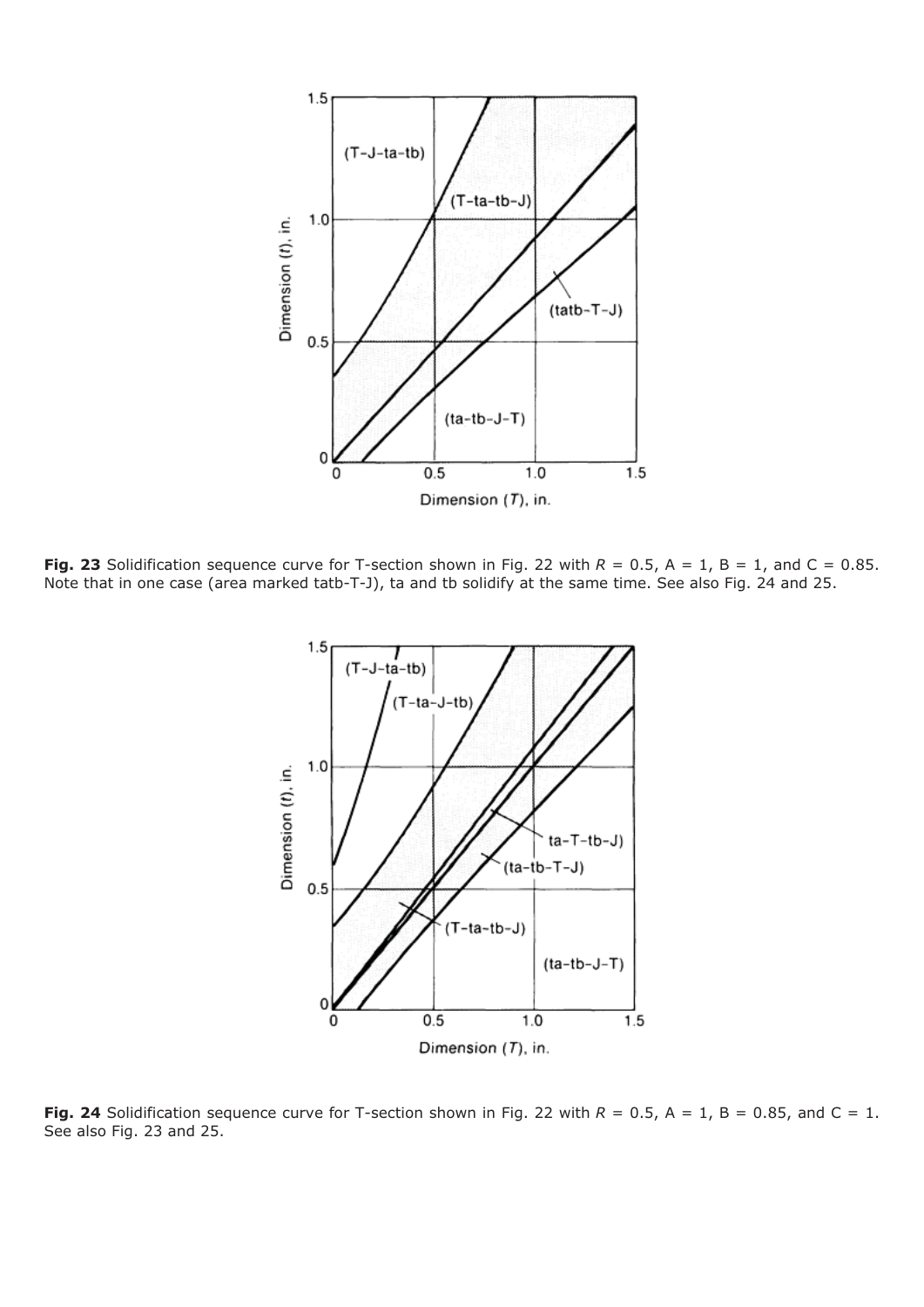![](_page_27_Figure_0.jpeg)

**Fig. 23** Solidification sequence curve for T-section shown in Fig. 22 with  $R = 0.5$ ,  $A = 1$ ,  $B = 1$ , and  $C = 0.85$ . Note that in one case (area marked tatb-T-J), ta and tb solidify at the same time. See also Fig. 24 and 25.

![](_page_27_Figure_2.jpeg)

**Fig. 24** Solidification sequence curve for T-section shown in Fig. 22 with  $R = 0.5$ ,  $A = 1$ ,  $B = 0.85$ , and  $C = 1$ . See also Fig. 23 and 25.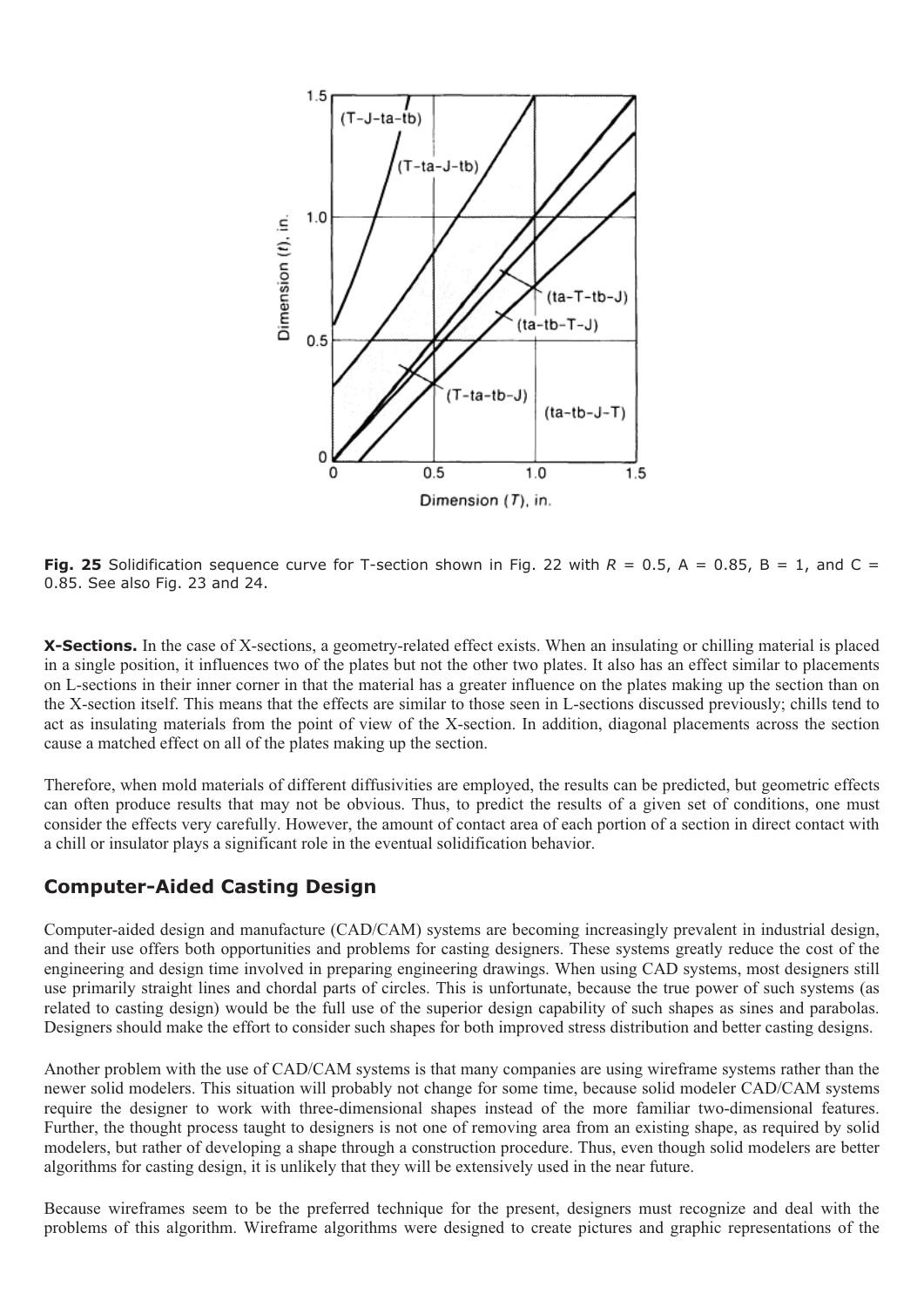![](_page_28_Figure_0.jpeg)

**Fig. 25** Solidification sequence curve for T-section shown in Fig. 22 with  $R = 0.5$ ,  $A = 0.85$ ,  $B = 1$ , and C = 0.85. See also Fig. 23 and 24.

**X-Sections.** In the case of X-sections, a geometry-related effect exists. When an insulating or chilling material is placed in a single position, it influences two of the plates but not the other two plates. It also has an effect similar to placements on L-sections in their inner corner in that the material has a greater influence on the plates making up the section than on the X-section itself. This means that the effects are similar to those seen in L-sections discussed previously; chills tend to act as insulating materials from the point of view of the X-section. In addition, diagonal placements across the section cause a matched effect on all of the plates making up the section.

Therefore, when mold materials of different diffusivities are employed, the results can be predicted, but geometric effects can often produce results that may not be obvious. Thus, to predict the results of a given set of conditions, one must consider the effects very carefully. However, the amount of contact area of each portion of a section in direct contact with a chill or insulator plays a significant role in the eventual solidification behavior.

## **Computer-Aided Casting Design**

Computer-aided design and manufacture (CAD/CAM) systems are becoming increasingly prevalent in industrial design, and their use offers both opportunities and problems for casting designers. These systems greatly reduce the cost of the engineering and design time involved in preparing engineering drawings. When using CAD systems, most designers still use primarily straight lines and chordal parts of circles. This is unfortunate, because the true power of such systems (as related to casting design) would be the full use of the superior design capability of such shapes as sines and parabolas. Designers should make the effort to consider such shapes for both improved stress distribution and better casting designs.

Another problem with the use of CAD/CAM systems is that many companies are using wireframe systems rather than the newer solid modelers. This situation will probably not change for some time, because solid modeler CAD/CAM systems require the designer to work with three-dimensional shapes instead of the more familiar two-dimensional features. Further, the thought process taught to designers is not one of removing area from an existing shape, as required by solid modelers, but rather of developing a shape through a construction procedure. Thus, even though solid modelers are better algorithms for casting design, it is unlikely that they will be extensively used in the near future.

Because wireframes seem to be the preferred technique for the present, designers must recognize and deal with the problems of this algorithm. Wireframe algorithms were designed to create pictures and graphic representations of the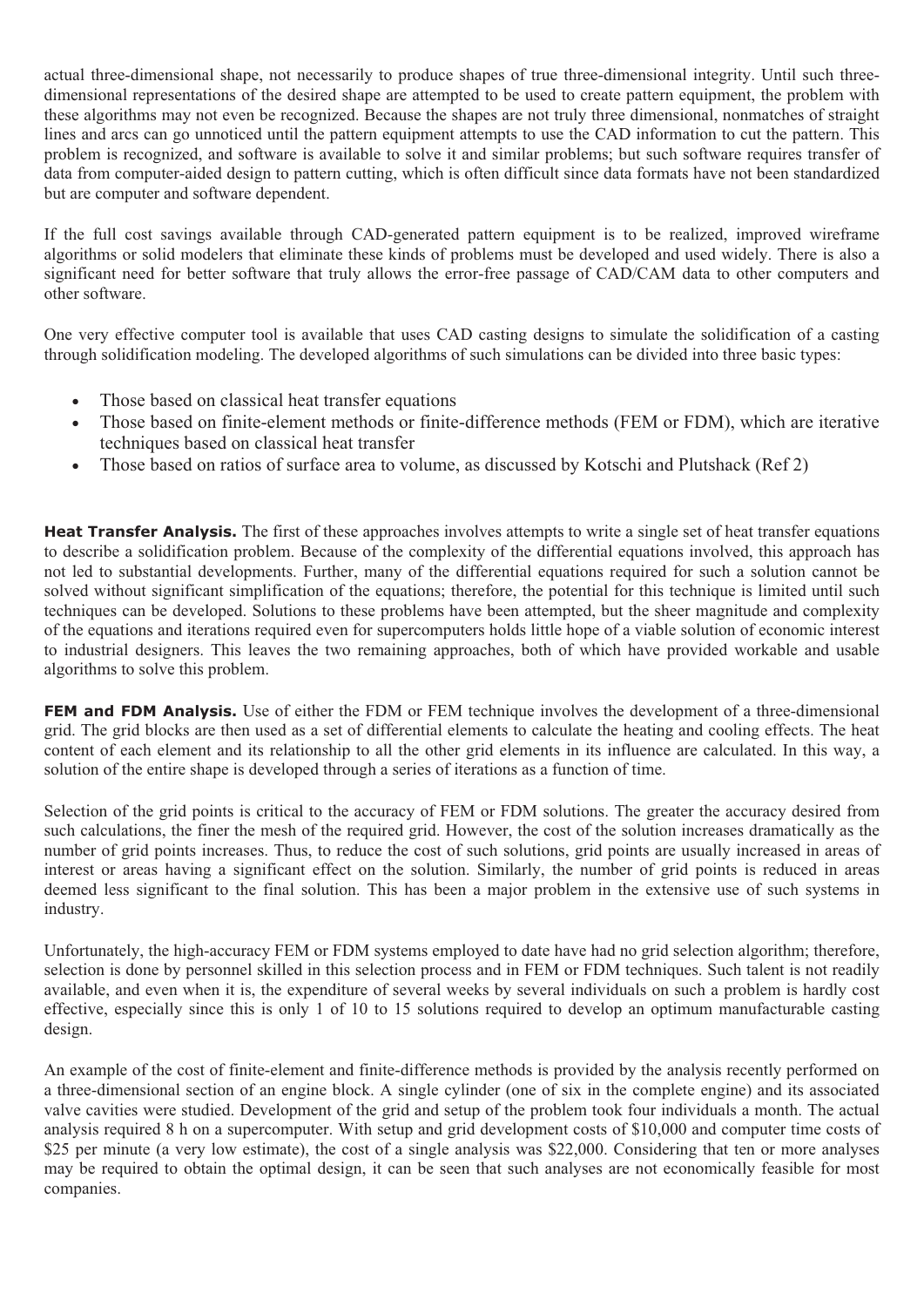actual three-dimensional shape, not necessarily to produce shapes of true three-dimensional integrity. Until such threedimensional representations of the desired shape are attempted to be used to create pattern equipment, the problem with these algorithms may not even be recognized. Because the shapes are not truly three dimensional, nonmatches of straight lines and arcs can go unnoticed until the pattern equipment attempts to use the CAD information to cut the pattern. This problem is recognized, and software is available to solve it and similar problems; but such software requires transfer of data from computer-aided design to pattern cutting, which is often difficult since data formats have not been standardized but are computer and software dependent.

If the full cost savings available through CAD-generated pattern equipment is to be realized, improved wireframe algorithms or solid modelers that eliminate these kinds of problems must be developed and used widely. There is also a significant need for better software that truly allows the error-free passage of CAD/CAM data to other computers and other software.

One very effective computer tool is available that uses CAD casting designs to simulate the solidification of a casting through solidification modeling. The developed algorithms of such simulations can be divided into three basic types:

- Those based on classical heat transfer equations
- Those based on finite-element methods or finite-difference methods (FEM or FDM), which are iterative techniques based on classical heat transfer
- Those based on ratios of surface area to volume, as discussed by Kotschi and Plutshack (Ref 2)

**Heat Transfer Analysis.** The first of these approaches involves attempts to write a single set of heat transfer equations to describe a solidification problem. Because of the complexity of the differential equations involved, this approach has not led to substantial developments. Further, many of the differential equations required for such a solution cannot be solved without significant simplification of the equations; therefore, the potential for this technique is limited until such techniques can be developed. Solutions to these problems have been attempted, but the sheer magnitude and complexity of the equations and iterations required even for supercomputers holds little hope of a viable solution of economic interest to industrial designers. This leaves the two remaining approaches, both of which have provided workable and usable algorithms to solve this problem.

**FEM and FDM Analysis.** Use of either the FDM or FEM technique involves the development of a three-dimensional grid. The grid blocks are then used as a set of differential elements to calculate the heating and cooling effects. The heat content of each element and its relationship to all the other grid elements in its influence are calculated. In this way, a solution of the entire shape is developed through a series of iterations as a function of time.

Selection of the grid points is critical to the accuracy of FEM or FDM solutions. The greater the accuracy desired from such calculations, the finer the mesh of the required grid. However, the cost of the solution increases dramatically as the number of grid points increases. Thus, to reduce the cost of such solutions, grid points are usually increased in areas of interest or areas having a significant effect on the solution. Similarly, the number of grid points is reduced in areas deemed less significant to the final solution. This has been a major problem in the extensive use of such systems in industry.

Unfortunately, the high-accuracy FEM or FDM systems employed to date have had no grid selection algorithm; therefore, selection is done by personnel skilled in this selection process and in FEM or FDM techniques. Such talent is not readily available, and even when it is, the expenditure of several weeks by several individuals on such a problem is hardly cost effective, especially since this is only 1 of 10 to 15 solutions required to develop an optimum manufacturable casting design.

An example of the cost of finite-element and finite-difference methods is provided by the analysis recently performed on a three-dimensional section of an engine block. A single cylinder (one of six in the complete engine) and its associated valve cavities were studied. Development of the grid and setup of the problem took four individuals a month. The actual analysis required 8 h on a supercomputer. With setup and grid development costs of \$10,000 and computer time costs of \$25 per minute (a very low estimate), the cost of a single analysis was \$22,000. Considering that ten or more analyses may be required to obtain the optimal design, it can be seen that such analyses are not economically feasible for most companies.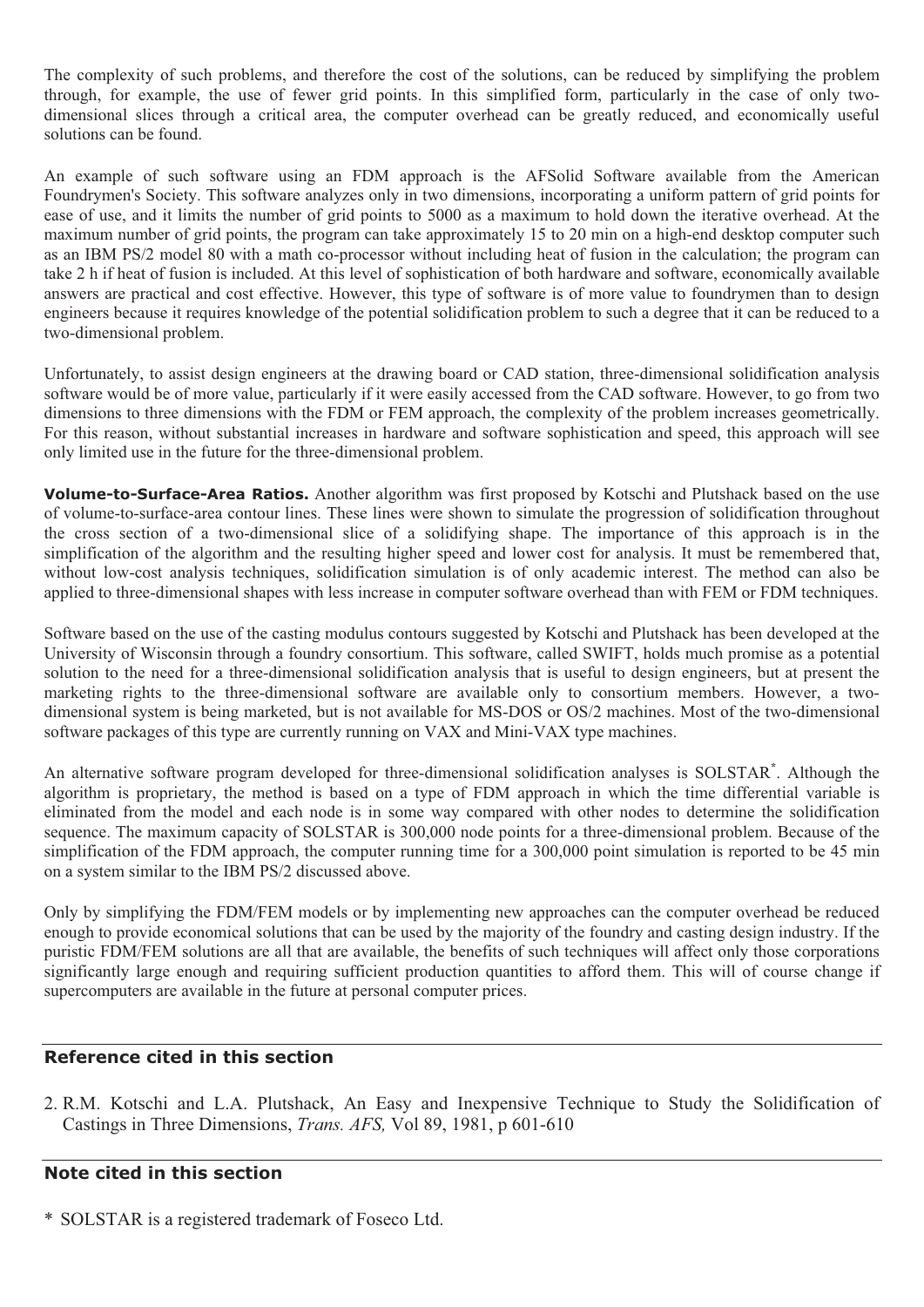The complexity of such problems, and therefore the cost of the solutions, can be reduced by simplifying the problem through, for example, the use of fewer grid points. In this simplified form, particularly in the case of only twodimensional slices through a critical area, the computer overhead can be greatly reduced, and economically useful solutions can be found.

An example of such software using an FDM approach is the AFSolid Software available from the American Foundrymen's Society. This software analyzes only in two dimensions, incorporating a uniform pattern of grid points for ease of use, and it limits the number of grid points to 5000 as a maximum to hold down the iterative overhead. At the maximum number of grid points, the program can take approximately 15 to 20 min on a high-end desktop computer such as an IBM PS/2 model 80 with a math co-processor without including heat of fusion in the calculation; the program can take 2 h if heat of fusion is included. At this level of sophistication of both hardware and software, economically available answers are practical and cost effective. However, this type of software is of more value to foundrymen than to design engineers because it requires knowledge of the potential solidification problem to such a degree that it can be reduced to a two-dimensional problem.

Unfortunately, to assist design engineers at the drawing board or CAD station, three-dimensional solidification analysis software would be of more value, particularly if it were easily accessed from the CAD software. However, to go from two dimensions to three dimensions with the FDM or FEM approach, the complexity of the problem increases geometrically. For this reason, without substantial increases in hardware and software sophistication and speed, this approach will see only limited use in the future for the three-dimensional problem.

**Volume-to-Surface-Area Ratios.** Another algorithm was first proposed by Kotschi and Plutshack based on the use of volume-to-surface-area contour lines. These lines were shown to simulate the progression of solidification throughout the cross section of a two-dimensional slice of a solidifying shape. The importance of this approach is in the simplification of the algorithm and the resulting higher speed and lower cost for analysis. It must be remembered that, without low-cost analysis techniques, solidification simulation is of only academic interest. The method can also be applied to three-dimensional shapes with less increase in computer software overhead than with FEM or FDM techniques.

Software based on the use of the casting modulus contours suggested by Kotschi and Plutshack has been developed at the University of Wisconsin through a foundry consortium. This software, called SWIFT, holds much promise as a potential solution to the need for a three-dimensional solidification analysis that is useful to design engineers, but at present the marketing rights to the three-dimensional software are available only to consortium members. However, a twodimensional system is being marketed, but is not available for MS-DOS or OS/2 machines. Most of the two-dimensional software packages of this type are currently running on VAX and Mini-VAX type machines.

An alternative software program developed for three-dimensional solidification analyses is SOLSTAR**\*** . Although the algorithm is proprietary, the method is based on a type of FDM approach in which the time differential variable is eliminated from the model and each node is in some way compared with other nodes to determine the solidification sequence. The maximum capacity of SOLSTAR is 300,000 node points for a three-dimensional problem. Because of the simplification of the FDM approach, the computer running time for a 300,000 point simulation is reported to be 45 min on a system similar to the IBM PS/2 discussed above.

Only by simplifying the FDM/FEM models or by implementing new approaches can the computer overhead be reduced enough to provide economical solutions that can be used by the majority of the foundry and casting design industry. If the puristic FDM/FEM solutions are all that are available, the benefits of such techniques will affect only those corporations significantly large enough and requiring sufficient production quantities to afford them. This will of course change if supercomputers are available in the future at personal computer prices.

### **Reference cited in this section**

2. R.M. Kotschi and L.A. Plutshack, An Easy and Inexpensive Technique to Study the Solidification of Castings in Three Dimensions, *Trans. AFS,* Vol 89, 1981, p 601-610

### **Note cited in this section**

\* SOLSTAR is a registered trademark of Foseco Ltd.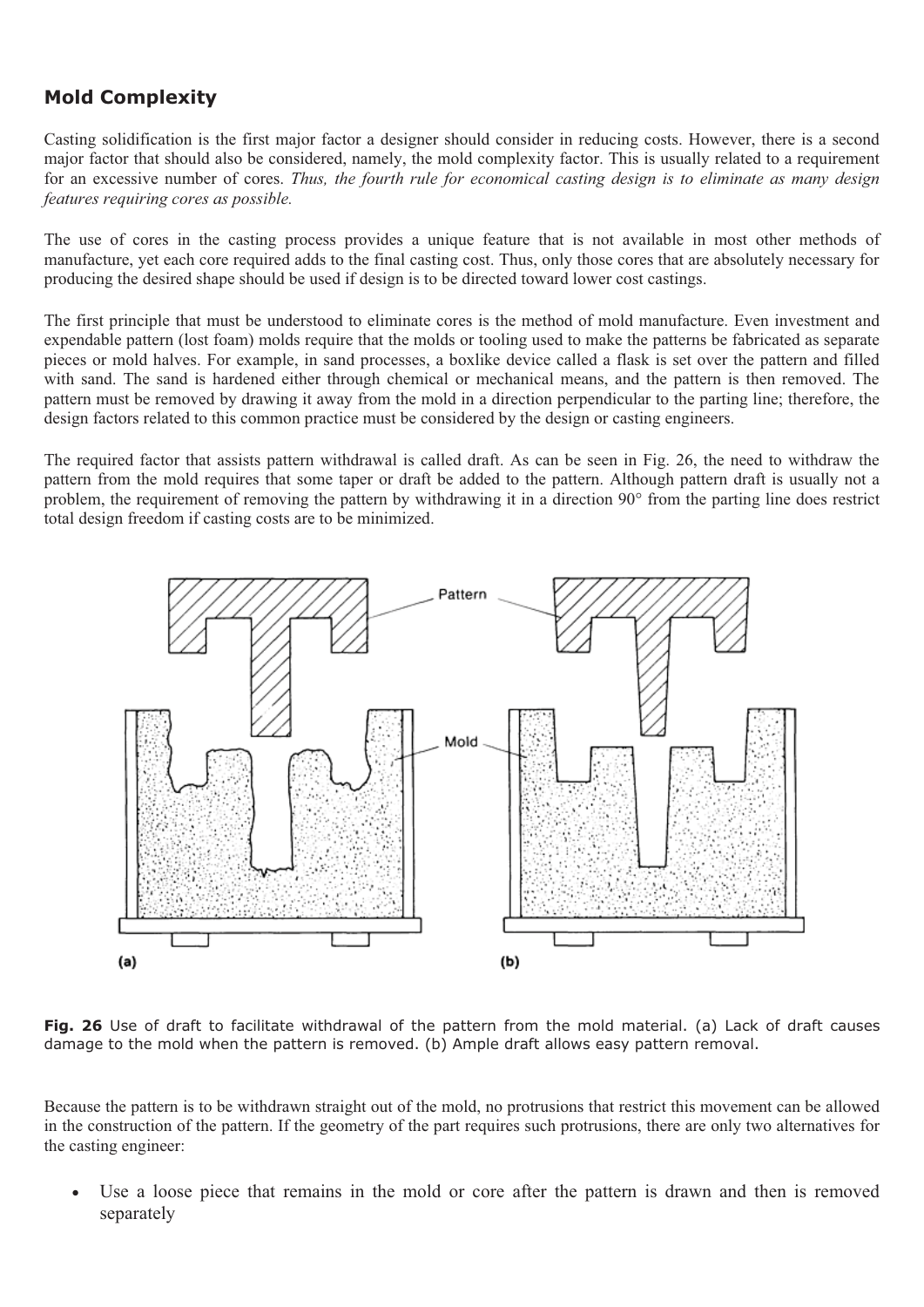# **Mold Complexity**

Casting solidification is the first major factor a designer should consider in reducing costs. However, there is a second major factor that should also be considered, namely, the mold complexity factor. This is usually related to a requirement for an excessive number of cores. *Thus, the fourth rule for economical casting design is to eliminate as many design features requiring cores as possible.*

The use of cores in the casting process provides a unique feature that is not available in most other methods of manufacture, yet each core required adds to the final casting cost. Thus, only those cores that are absolutely necessary for producing the desired shape should be used if design is to be directed toward lower cost castings.

The first principle that must be understood to eliminate cores is the method of mold manufacture. Even investment and expendable pattern (lost foam) molds require that the molds or tooling used to make the patterns be fabricated as separate pieces or mold halves. For example, in sand processes, a boxlike device called a flask is set over the pattern and filled with sand. The sand is hardened either through chemical or mechanical means, and the pattern is then removed. The pattern must be removed by drawing it away from the mold in a direction perpendicular to the parting line; therefore, the design factors related to this common practice must be considered by the design or casting engineers.

The required factor that assists pattern withdrawal is called draft. As can be seen in Fig. 26, the need to withdraw the pattern from the mold requires that some taper or draft be added to the pattern. Although pattern draft is usually not a problem, the requirement of removing the pattern by withdrawing it in a direction 90° from the parting line does restrict total design freedom if casting costs are to be minimized.

![](_page_31_Figure_5.jpeg)

**Fig. 26** Use of draft to facilitate withdrawal of the pattern from the mold material. (a) Lack of draft causes damage to the mold when the pattern is removed. (b) Ample draft allows easy pattern removal.

Because the pattern is to be withdrawn straight out of the mold, no protrusions that restrict this movement can be allowed in the construction of the pattern. If the geometry of the part requires such protrusions, there are only two alternatives for the casting engineer:

Use a loose piece that remains in the mold or core after the pattern is drawn and then is removed separately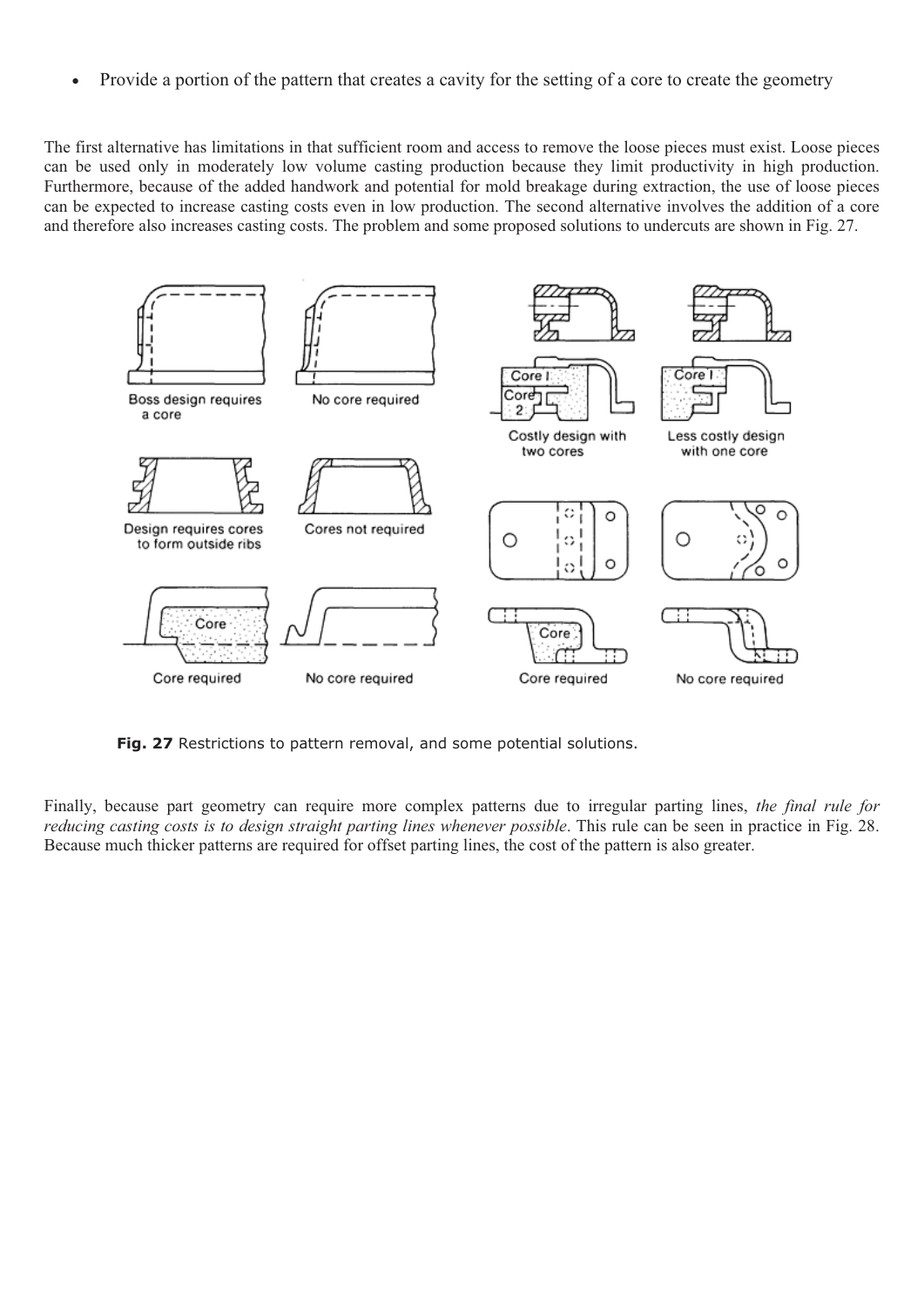• Provide a portion of the pattern that creates a cavity for the setting of a core to create the geometry

The first alternative has limitations in that sufficient room and access to remove the loose pieces must exist. Loose pieces can be used only in moderately low volume casting production because they limit productivity in high production. Furthermore, because of the added handwork and potential for mold breakage during extraction, the use of loose pieces can be expected to increase casting costs even in low production. The second alternative involves the addition of a core and therefore also increases casting costs. The problem and some proposed solutions to undercuts are shown in Fig. 27.

![](_page_32_Figure_2.jpeg)

**Fig. 27** Restrictions to pattern removal, and some potential solutions.

Finally, because part geometry can require more complex patterns due to irregular parting lines, *the final rule for reducing casting costs is to design straight parting lines whenever possible*. This rule can be seen in practice in Fig. 28. Because much thicker patterns are required for offset parting lines, the cost of the pattern is also greater.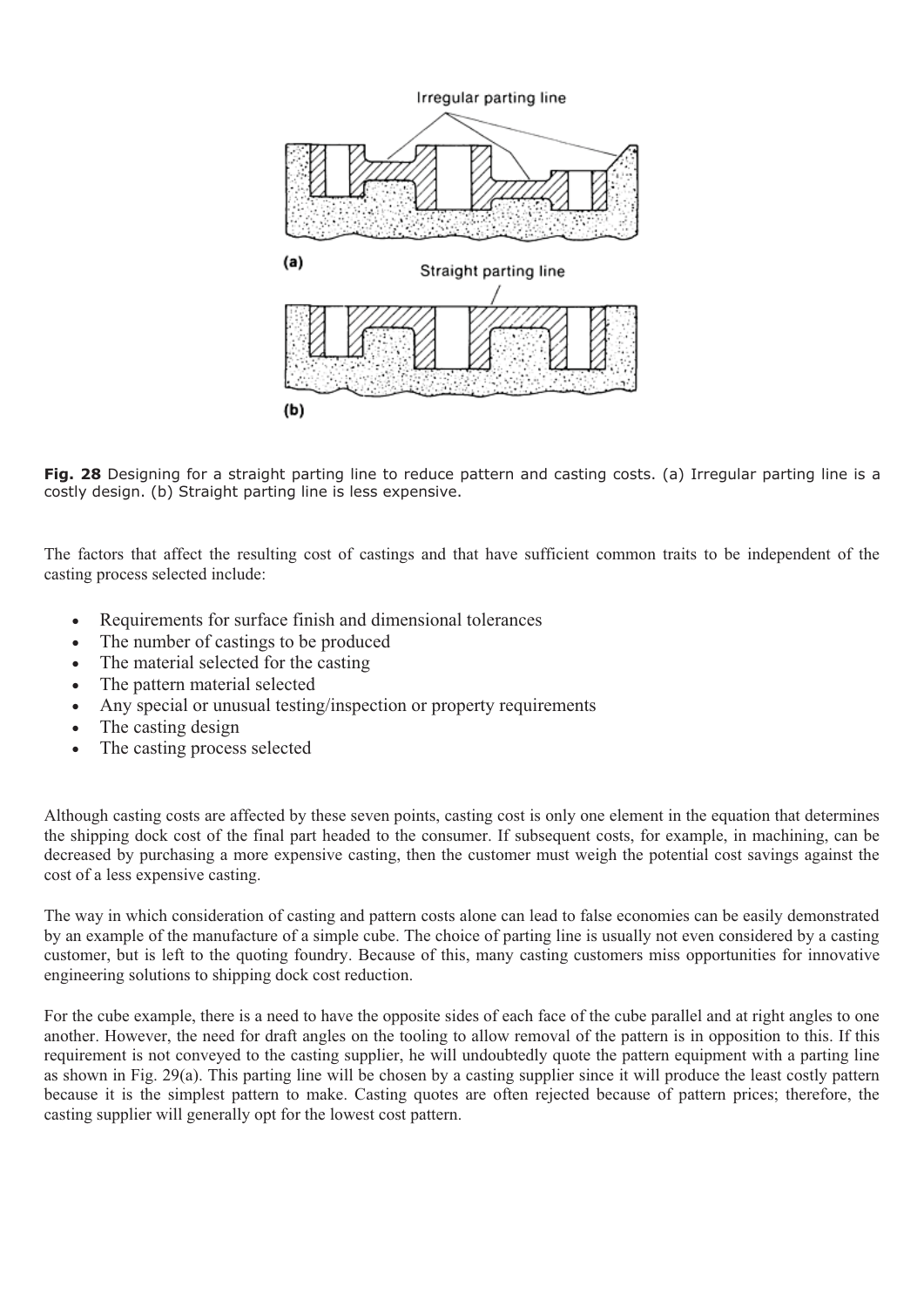![](_page_33_Figure_0.jpeg)

**Fig. 28** Designing for a straight parting line to reduce pattern and casting costs. (a) Irregular parting line is a costly design. (b) Straight parting line is less expensive.

The factors that affect the resulting cost of castings and that have sufficient common traits to be independent of the casting process selected include:

- Requirements for surface finish and dimensional tolerances
- The number of castings to be produced
- The material selected for the casting
- The pattern material selected
- Any special or unusual testing/inspection or property requirements
- The casting design
- The casting process selected

Although casting costs are affected by these seven points, casting cost is only one element in the equation that determines the shipping dock cost of the final part headed to the consumer. If subsequent costs, for example, in machining, can be decreased by purchasing a more expensive casting, then the customer must weigh the potential cost savings against the cost of a less expensive casting.

The way in which consideration of casting and pattern costs alone can lead to false economies can be easily demonstrated by an example of the manufacture of a simple cube. The choice of parting line is usually not even considered by a casting customer, but is left to the quoting foundry. Because of this, many casting customers miss opportunities for innovative engineering solutions to shipping dock cost reduction.

For the cube example, there is a need to have the opposite sides of each face of the cube parallel and at right angles to one another. However, the need for draft angles on the tooling to allow removal of the pattern is in opposition to this. If this requirement is not conveyed to the casting supplier, he will undoubtedly quote the pattern equipment with a parting line as shown in Fig. 29(a). This parting line will be chosen by a casting supplier since it will produce the least costly pattern because it is the simplest pattern to make. Casting quotes are often rejected because of pattern prices; therefore, the casting supplier will generally opt for the lowest cost pattern.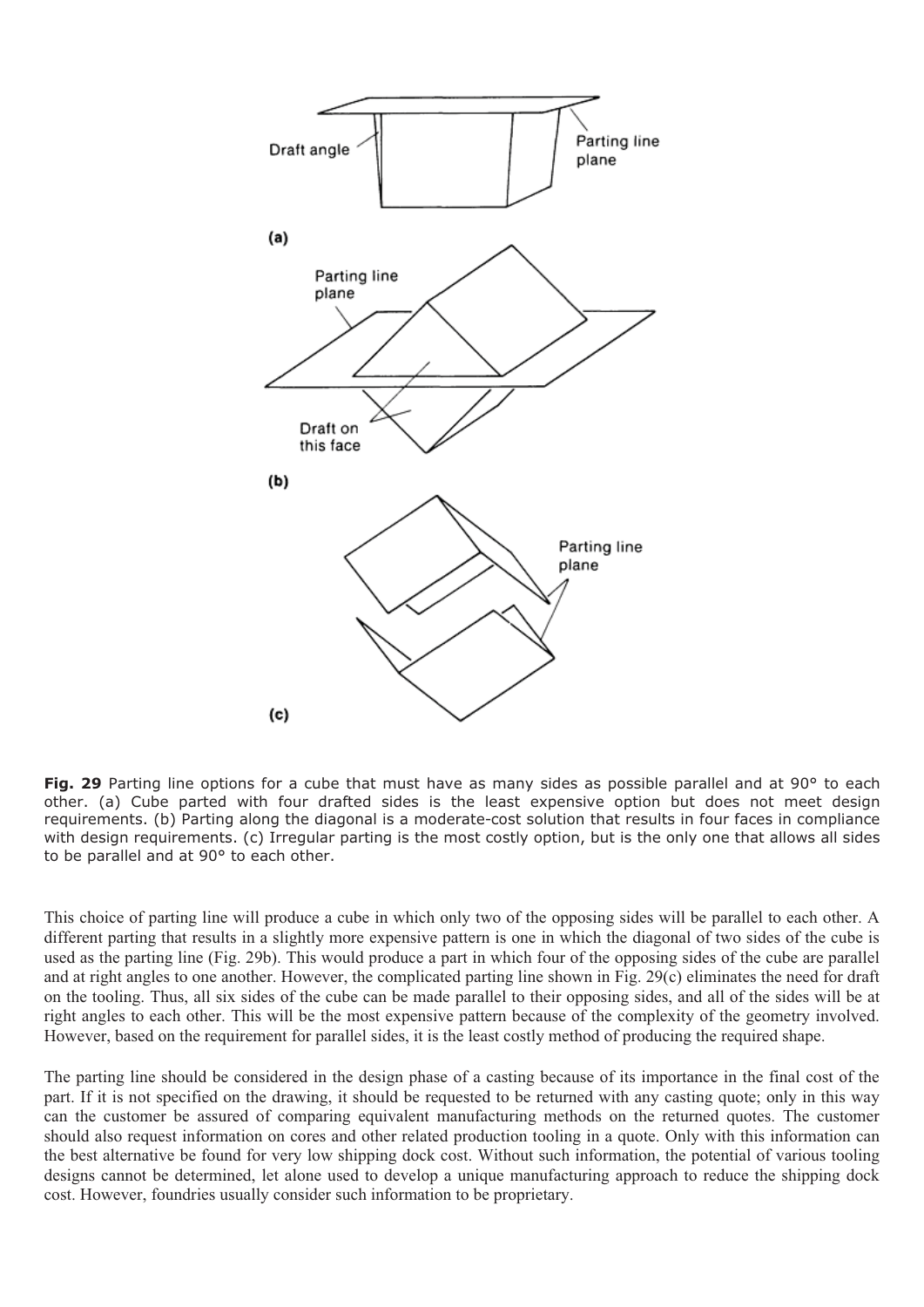![](_page_34_Figure_0.jpeg)

**Fig. 29** Parting line options for a cube that must have as many sides as possible parallel and at 90° to each other. (a) Cube parted with four drafted sides is the least expensive option but does not meet design requirements. (b) Parting along the diagonal is a moderate-cost solution that results in four faces in compliance with design requirements. (c) Irregular parting is the most costly option, but is the only one that allows all sides to be parallel and at 90° to each other.

This choice of parting line will produce a cube in which only two of the opposing sides will be parallel to each other. A different parting that results in a slightly more expensive pattern is one in which the diagonal of two sides of the cube is used as the parting line (Fig. 29b). This would produce a part in which four of the opposing sides of the cube are parallel and at right angles to one another. However, the complicated parting line shown in Fig. 29(c) eliminates the need for draft on the tooling. Thus, all six sides of the cube can be made parallel to their opposing sides, and all of the sides will be at right angles to each other. This will be the most expensive pattern because of the complexity of the geometry involved. However, based on the requirement for parallel sides, it is the least costly method of producing the required shape.

The parting line should be considered in the design phase of a casting because of its importance in the final cost of the part. If it is not specified on the drawing, it should be requested to be returned with any casting quote; only in this way can the customer be assured of comparing equivalent manufacturing methods on the returned quotes. The customer should also request information on cores and other related production tooling in a quote. Only with this information can the best alternative be found for very low shipping dock cost. Without such information, the potential of various tooling designs cannot be determined, let alone used to develop a unique manufacturing approach to reduce the shipping dock cost. However, foundries usually consider such information to be proprietary.